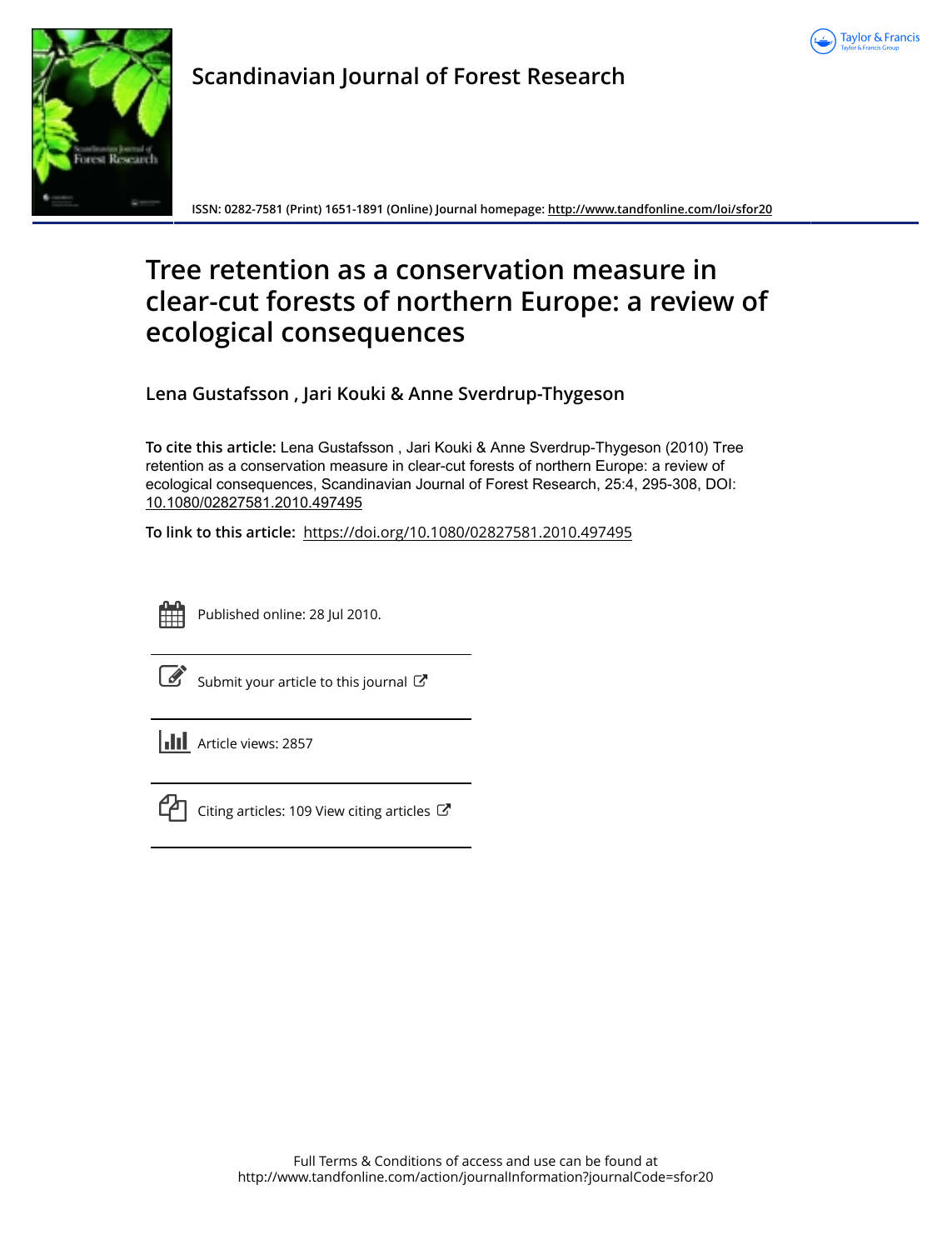



**Scandinavian Journal of Forest Research**

**ISSN: 0282-7581 (Print) 1651-1891 (Online) Journal homepage:<http://www.tandfonline.com/loi/sfor20>**

# **Tree retention as a conservation measure in clear-cut forests of northern Europe: a review of ecological consequences**

**Lena Gustafsson , Jari Kouki & Anne Sverdrup-Thygeson**

**To cite this article:** Lena Gustafsson , Jari Kouki & Anne Sverdrup-Thygeson (2010) Tree retention as a conservation measure in clear-cut forests of northern Europe: a review of ecological consequences, Scandinavian Journal of Forest Research, 25:4, 295-308, DOI: [10.1080/02827581.2010.497495](http://www.tandfonline.com/action/showCitFormats?doi=10.1080/02827581.2010.497495)

**To link to this article:** <https://doi.org/10.1080/02827581.2010.497495>



Published online: 28 Jul 2010.

[Submit your article to this journal](http://www.tandfonline.com/action/authorSubmission?journalCode=sfor20&show=instructions)  $\mathbb{Z}$ 

**Article views: 2857** 



 $\Box$  [Citing articles: 109 View citing articles](http://www.tandfonline.com/doi/citedby/10.1080/02827581.2010.497495#tabModule)  $\Box$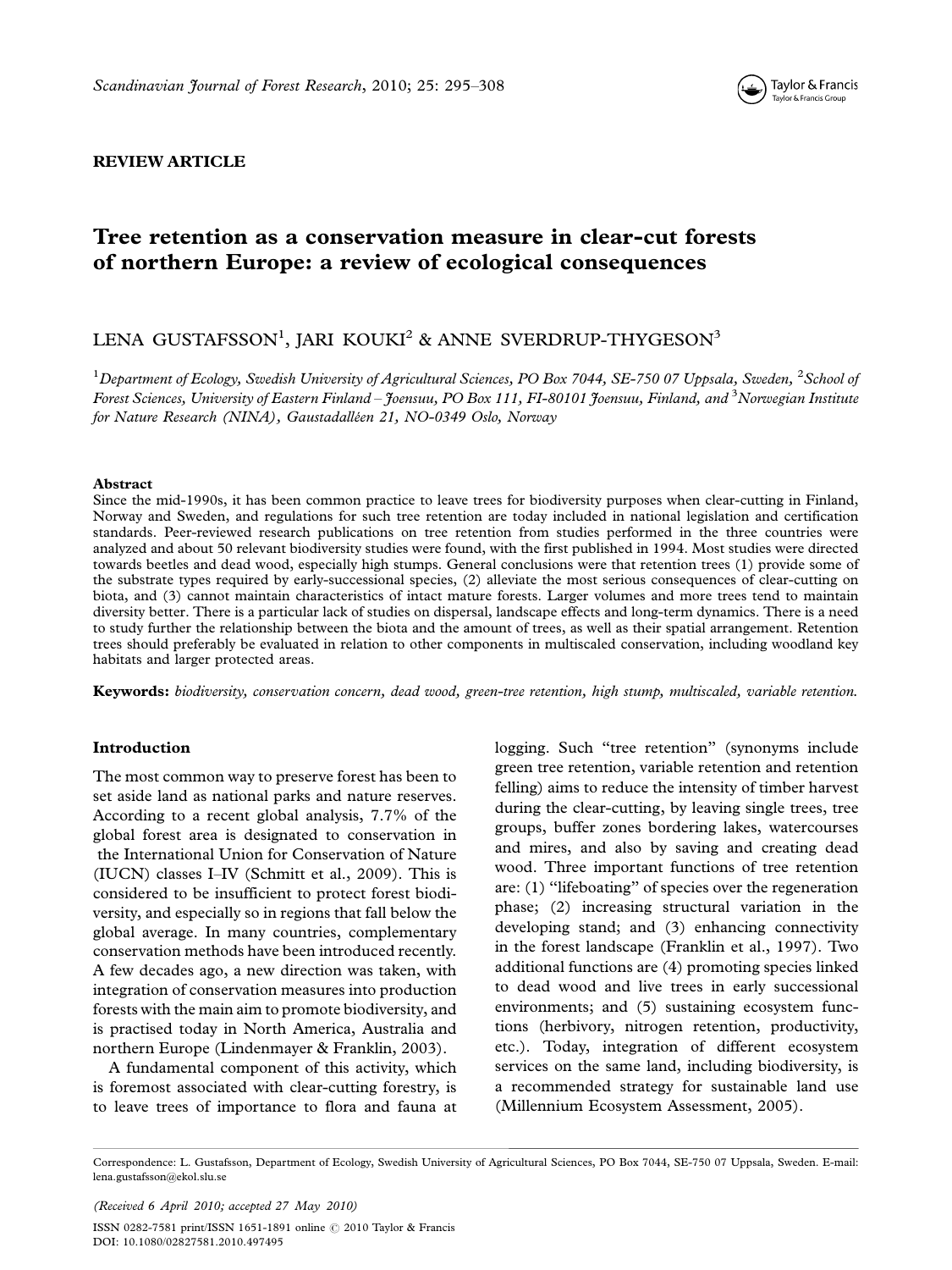

# REVIEW ARTICLE

# Tree retention as a conservation measure in clear-cut forests of northern Europe: a review of ecological consequences

# LENA GUSTAFSSON<sup>1</sup>, JARI KOUKI<sup>2</sup> & ANNE SVERDRUP-THYGESON<sup>3</sup>

 $^1$ Department of Ecology, Swedish University of Agricultural Sciences, PO Box 7044, SE-750 07 Uppsala, Sweden,  $^2$ School of Forest Sciences, University of Eastern Finland – Joensuu, PO Box 111, FI-80101 Joensuu, Finland, and  $^3$ Norwegian Institute for Nature Research (NINA), Gaustadalléen 21, NO-0349 Oslo, Norway

#### Abstract

Since the mid-1990s, it has been common practice to leave trees for biodiversity purposes when clear-cutting in Finland, Norway and Sweden, and regulations for such tree retention are today included in national legislation and certification standards. Peer-reviewed research publications on tree retention from studies performed in the three countries were analyzed and about 50 relevant biodiversity studies were found, with the first published in 1994. Most studies were directed towards beetles and dead wood, especially high stumps. General conclusions were that retention trees (1) provide some of the substrate types required by early-successional species, (2) alleviate the most serious consequences of clear-cutting on biota, and (3) cannot maintain characteristics of intact mature forests. Larger volumes and more trees tend to maintain diversity better. There is a particular lack of studies on dispersal, landscape effects and long-term dynamics. There is a need to study further the relationship between the biota and the amount of trees, as well as their spatial arrangement. Retention trees should preferably be evaluated in relation to other components in multiscaled conservation, including woodland key habitats and larger protected areas.

Keywords: biodiversity, conservation concern, dead wood, green-tree retention, high stump, multiscaled, variable retention.

#### Introduction

The most common way to preserve forest has been to set aside land as national parks and nature reserves. According to a recent global analysis, 7.7% of the global forest area is designated to conservation in the International Union for Conservation of Nature (IUCN) classes I-IV (Schmitt et al., 2009). This is considered to be insufficient to protect forest biodiversity, and especially so in regions that fall below the global average. In many countries, complementary conservation methods have been introduced recently. A few decades ago, a new direction was taken, with integration of conservation measures into production forests with the main aim to promote biodiversity, and is practised today in North America, Australia and northern Europe (Lindenmayer & Franklin, 2003).

A fundamental component of this activity, which is foremost associated with clear-cutting forestry, is to leave trees of importance to flora and fauna at logging. Such "tree retention" (synonyms include green tree retention, variable retention and retention felling) aims to reduce the intensity of timber harvest during the clear-cutting, by leaving single trees, tree groups, buffer zones bordering lakes, watercourses and mires, and also by saving and creating dead wood. Three important functions of tree retention are: (1) ''lifeboating'' of species over the regeneration phase; (2) increasing structural variation in the developing stand; and (3) enhancing connectivity in the forest landscape (Franklin et al., 1997). Two additional functions are (4) promoting species linked to dead wood and live trees in early successional environments; and (5) sustaining ecosystem functions (herbivory, nitrogen retention, productivity, etc.). Today, integration of different ecosystem services on the same land, including biodiversity, is a recommended strategy for sustainable land use (Millennium Ecosystem Assessment, 2005).

(Received 6 April 2010; accepted 27 May 2010) ISSN 0282-7581 print/ISSN 1651-1891 online © 2010 Taylor & Francis DOI: 10.1080/02827581.2010.497495

Correspondence: L. Gustafsson, Department of Ecology, Swedish University of Agricultural Sciences, PO Box 7044, SE-750 07 Uppsala, Sweden. E-mail: lena.gustafsson@ekol.slu.se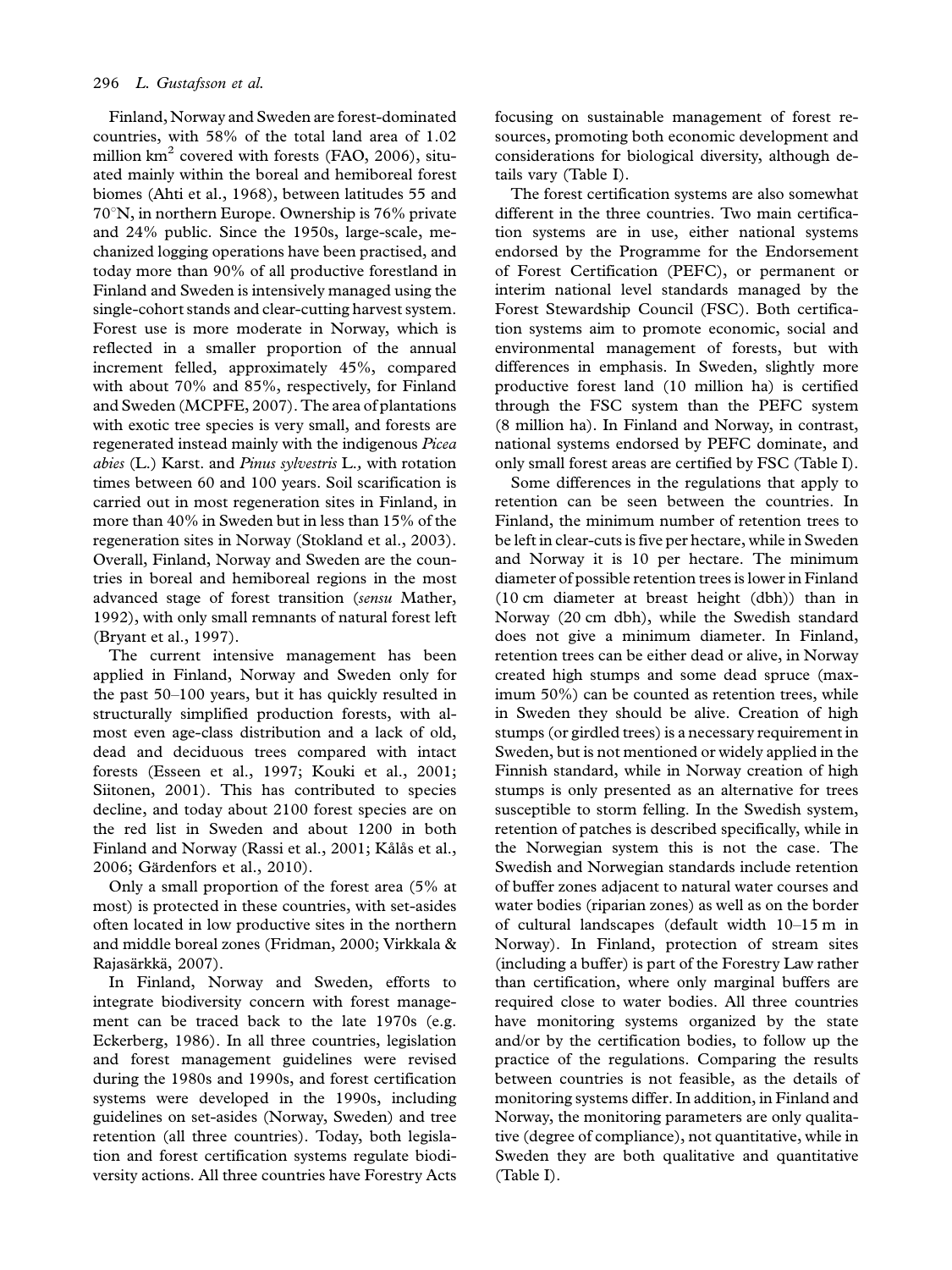Finland, Norway and Sweden are forest-dominated countries, with 58% of the total land area of 1.02 million  $km^2$  covered with forests (FAO, 2006), situated mainly within the boreal and hemiboreal forest biomes (Ahti et al., 1968), between latitudes 55 and  $70^{\circ}$ N, in northern Europe. Ownership is 76% private and 24% public. Since the 1950s, large-scale, mechanized logging operations have been practised, and today more than 90% of all productive forestland in Finland and Sweden is intensively managed using the single-cohort stands and clear-cutting harvest system. Forest use is more moderate in Norway, which is reflected in a smaller proportion of the annual increment felled, approximately 45%, compared with about 70% and 85%, respectively, for Finland and Sweden (MCPFE, 2007). The area of plantations with exotic tree species is very small, and forests are regenerated instead mainly with the indigenous Picea abies (L.) Karst. and Pinus sylvestris L., with rotation times between 60 and 100 years. Soil scarification is carried out in most regeneration sites in Finland, in more than 40% in Sweden but in less than 15% of the regeneration sites in Norway (Stokland et al., 2003). Overall, Finland, Norway and Sweden are the countries in boreal and hemiboreal regions in the most advanced stage of forest transition (sensu Mather, 1992), with only small remnants of natural forest left (Bryant et al., 1997).

The current intensive management has been applied in Finland, Norway and Sweden only for the past  $50-100$  years, but it has quickly resulted in structurally simplified production forests, with almost even age-class distribution and a lack of old, dead and deciduous trees compared with intact forests (Esseen et al., 1997; Kouki et al., 2001; Siitonen, 2001). This has contributed to species decline, and today about 2100 forest species are on the red list in Sweden and about 1200 in both Finland and Norway (Rassi et al., 2001; Kålås et al., 2006; Gärdenfors et al., 2010).

Only a small proportion of the forest area (5% at most) is protected in these countries, with set-asides often located in low productive sites in the northern and middle boreal zones (Fridman, 2000; Virkkala & Rajasärkkä, 2007).

In Finland, Norway and Sweden, efforts to integrate biodiversity concern with forest management can be traced back to the late 1970s (e.g. Eckerberg, 1986). In all three countries, legislation and forest management guidelines were revised during the 1980s and 1990s, and forest certification systems were developed in the 1990s, including guidelines on set-asides (Norway, Sweden) and tree retention (all three countries). Today, both legislation and forest certification systems regulate biodiversity actions. All three countries have Forestry Acts

focusing on sustainable management of forest resources, promoting both economic development and considerations for biological diversity, although details vary (Table I).

The forest certification systems are also somewhat different in the three countries. Two main certification systems are in use, either national systems endorsed by the Programme for the Endorsement of Forest Certification (PEFC), or permanent or interim national level standards managed by the Forest Stewardship Council (FSC). Both certification systems aim to promote economic, social and environmental management of forests, but with differences in emphasis. In Sweden, slightly more productive forest land (10 million ha) is certified through the FSC system than the PEFC system (8 million ha). In Finland and Norway, in contrast, national systems endorsed by PEFC dominate, and only small forest areas are certified by FSC (Table I).

Some differences in the regulations that apply to retention can be seen between the countries. In Finland, the minimum number of retention trees to be left in clear-cuts is five per hectare, while in Sweden and Norway it is 10 per hectare. The minimum diameter of possible retention trees is lower in Finland (10 cm diameter at breast height (dbh)) than in Norway (20 cm dbh), while the Swedish standard does not give a minimum diameter. In Finland, retention trees can be either dead or alive, in Norway created high stumps and some dead spruce (maximum 50%) can be counted as retention trees, while in Sweden they should be alive. Creation of high stumps (or girdled trees) is a necessary requirement in Sweden, but is not mentioned or widely applied in the Finnish standard, while in Norway creation of high stumps is only presented as an alternative for trees susceptible to storm felling. In the Swedish system, retention of patches is described specifically, while in the Norwegian system this is not the case. The Swedish and Norwegian standards include retention of buffer zones adjacent to natural water courses and water bodies (riparian zones) as well as on the border of cultural landscapes (default width  $10-15$  m in Norway). In Finland, protection of stream sites (including a buffer) is part of the Forestry Law rather than certification, where only marginal buffers are required close to water bodies. All three countries have monitoring systems organized by the state and/or by the certification bodies, to follow up the practice of the regulations. Comparing the results between countries is not feasible, as the details of monitoring systems differ. In addition, in Finland and Norway, the monitoring parameters are only qualitative (degree of compliance), not quantitative, while in Sweden they are both qualitative and quantitative (Table I).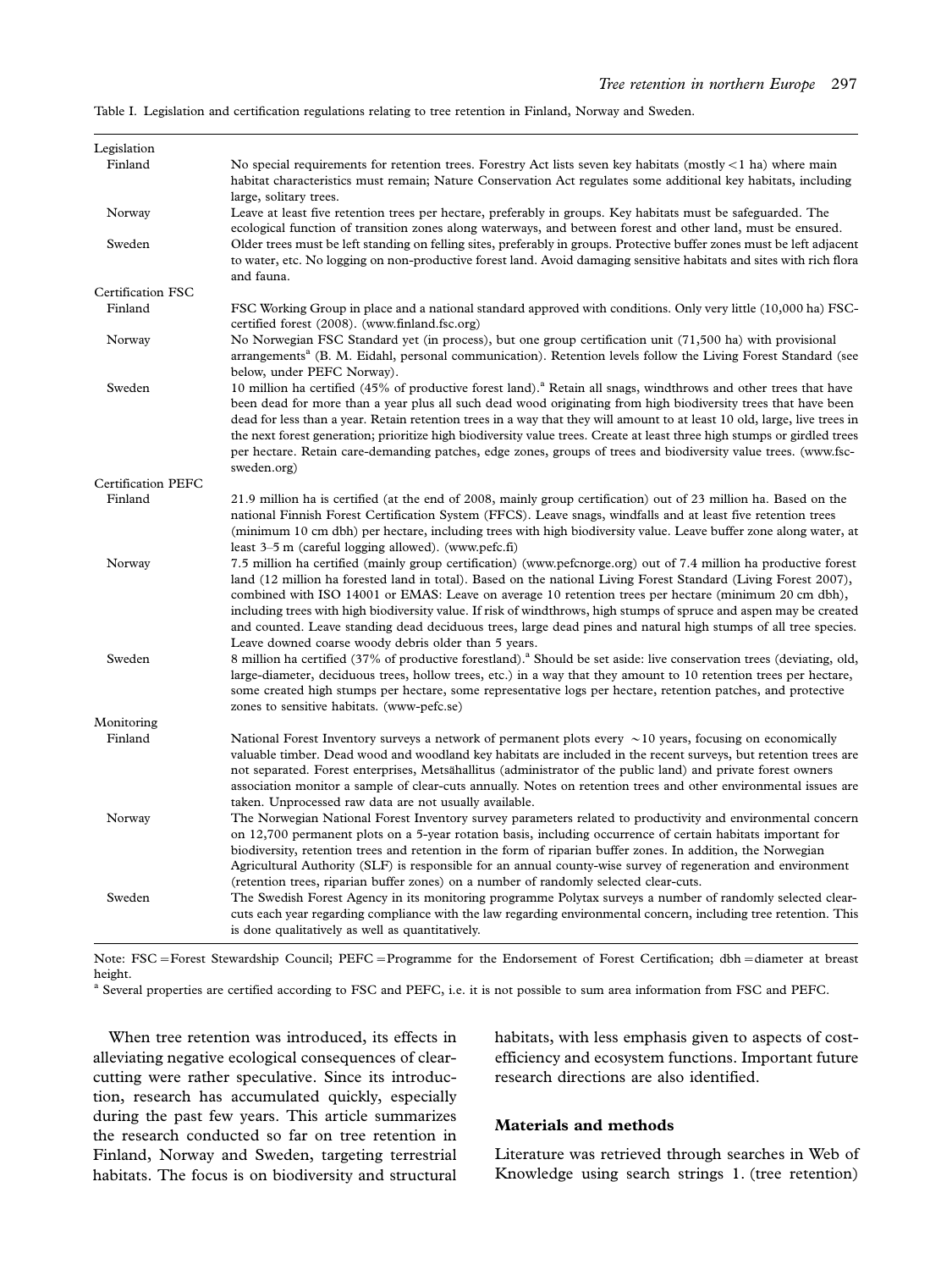Table I. Legislation and certification regulations relating to tree retention in Finland, Norway and Sweden.

| Legislation               |                                                                                                                                                                                                                                                                                                                                                                                                                                                                                                                                                                                                                                                 |  |  |  |  |  |
|---------------------------|-------------------------------------------------------------------------------------------------------------------------------------------------------------------------------------------------------------------------------------------------------------------------------------------------------------------------------------------------------------------------------------------------------------------------------------------------------------------------------------------------------------------------------------------------------------------------------------------------------------------------------------------------|--|--|--|--|--|
| Finland                   | No special requirements for retention trees. Forestry Act lists seven key habitats (mostly $\lt 1$ ha) where main                                                                                                                                                                                                                                                                                                                                                                                                                                                                                                                               |  |  |  |  |  |
|                           | habitat characteristics must remain; Nature Conservation Act regulates some additional key habitats, including<br>large, solitary trees.                                                                                                                                                                                                                                                                                                                                                                                                                                                                                                        |  |  |  |  |  |
| Norway                    | Leave at least five retention trees per hectare, preferably in groups. Key habitats must be safeguarded. The<br>ecological function of transition zones along waterways, and between forest and other land, must be ensured.                                                                                                                                                                                                                                                                                                                                                                                                                    |  |  |  |  |  |
| Sweden                    | Older trees must be left standing on felling sites, preferably in groups. Protective buffer zones must be left adjacent<br>to water, etc. No logging on non-productive forest land. Avoid damaging sensitive habitats and sites with rich flora<br>and fauna.                                                                                                                                                                                                                                                                                                                                                                                   |  |  |  |  |  |
| Certification FSC         |                                                                                                                                                                                                                                                                                                                                                                                                                                                                                                                                                                                                                                                 |  |  |  |  |  |
| Finland                   | FSC Working Group in place and a national standard approved with conditions. Only very little (10,000 ha) FSC-<br>certified forest (2008). (www.finland.fsc.org)                                                                                                                                                                                                                                                                                                                                                                                                                                                                                |  |  |  |  |  |
| Norway                    | No Norwegian FSC Standard yet (in process), but one group certification unit (71,500 ha) with provisional<br>arrangements <sup>a</sup> (B. M. Eidahl, personal communication). Retention levels follow the Living Forest Standard (see<br>below, under PEFC Norway).                                                                                                                                                                                                                                                                                                                                                                            |  |  |  |  |  |
| Sweden                    | 10 million ha certified (45% of productive forest land). <sup>ª</sup> Retain all snags, windthrows and other trees that have<br>been dead for more than a year plus all such dead wood originating from high biodiversity trees that have been<br>dead for less than a year. Retain retention trees in a way that they will amount to at least 10 old, large, live trees in<br>the next forest generation; prioritize high biodiversity value trees. Create at least three high stumps or girdled trees<br>per hectare. Retain care-demanding patches, edge zones, groups of trees and biodiversity value trees. (www.fsc-<br>sweden.org)       |  |  |  |  |  |
| <b>Certification PEFC</b> |                                                                                                                                                                                                                                                                                                                                                                                                                                                                                                                                                                                                                                                 |  |  |  |  |  |
| Finland                   | 21.9 million ha is certified (at the end of 2008, mainly group certification) out of 23 million ha. Based on the<br>national Finnish Forest Certification System (FFCS). Leave snags, windfalls and at least five retention trees<br>(minimum 10 cm dbh) per hectare, including trees with high biodiversity value. Leave buffer zone along water, at<br>least $3-5$ m (careful logging allowed). (www.pefc.fi)                                                                                                                                                                                                                                 |  |  |  |  |  |
| Norway                    | 7.5 million ha certified (mainly group certification) (www.pefcnorge.org) out of 7.4 million ha productive forest<br>land (12 million ha forested land in total). Based on the national Living Forest Standard (Living Forest 2007),<br>combined with ISO 14001 or EMAS: Leave on average 10 retention trees per hectare (minimum 20 cm dbh),<br>including trees with high biodiversity value. If risk of windthrows, high stumps of spruce and aspen may be created<br>and counted. Leave standing dead deciduous trees, large dead pines and natural high stumps of all tree species.<br>Leave downed coarse woody debris older than 5 years. |  |  |  |  |  |
| Sweden                    | 8 million ha certified (37% of productive forestland). <sup>8</sup> Should be set aside: live conservation trees (deviating, old,<br>large-diameter, deciduous trees, hollow trees, etc.) in a way that they amount to 10 retention trees per hectare,<br>some created high stumps per hectare, some representative logs per hectare, retention patches, and protective<br>zones to sensitive habitats. (www-pefc.se)                                                                                                                                                                                                                           |  |  |  |  |  |
| Monitoring                |                                                                                                                                                                                                                                                                                                                                                                                                                                                                                                                                                                                                                                                 |  |  |  |  |  |
| Finland                   | National Forest Inventory surveys a network of permanent plots every $\sim$ 10 years, focusing on economically<br>valuable timber. Dead wood and woodland key habitats are included in the recent surveys, but retention trees are<br>not separated. Forest enterprises, Metsähallitus (administrator of the public land) and private forest owners<br>association monitor a sample of clear-cuts annually. Notes on retention trees and other environmental issues are<br>taken. Unprocessed raw data are not usually available.                                                                                                               |  |  |  |  |  |
| Norway                    | The Norwegian National Forest Inventory survey parameters related to productivity and environmental concern<br>on 12,700 permanent plots on a 5-year rotation basis, including occurrence of certain habitats important for<br>biodiversity, retention trees and retention in the form of riparian buffer zones. In addition, the Norwegian<br>Agricultural Authority (SLF) is responsible for an annual county-wise survey of regeneration and environment<br>(retention trees, riparian buffer zones) on a number of randomly selected clear-cuts.                                                                                            |  |  |  |  |  |
| Sweden                    | The Swedish Forest Agency in its monitoring programme Polytax surveys a number of randomly selected clear-<br>cuts each year regarding compliance with the law regarding environmental concern, including tree retention. This<br>is done qualitatively as well as quantitatively.                                                                                                                                                                                                                                                                                                                                                              |  |  |  |  |  |

Note: FSC-Forest Stewardship Council; PEFC-Programme for the Endorsement of Forest Certification; dbh-diameter at breast height.

<sup>a</sup> Several properties are certified according to FSC and PEFC, i.e. it is not possible to sum area information from FSC and PEFC.

When tree retention was introduced, its effects in alleviating negative ecological consequences of clearcutting were rather speculative. Since its introduction, research has accumulated quickly, especially during the past few years. This article summarizes the research conducted so far on tree retention in Finland, Norway and Sweden, targeting terrestrial habitats. The focus is on biodiversity and structural habitats, with less emphasis given to aspects of costefficiency and ecosystem functions. Important future research directions are also identified.

## Materials and methods

Literature was retrieved through searches in Web of Knowledge using search strings 1. (tree retention)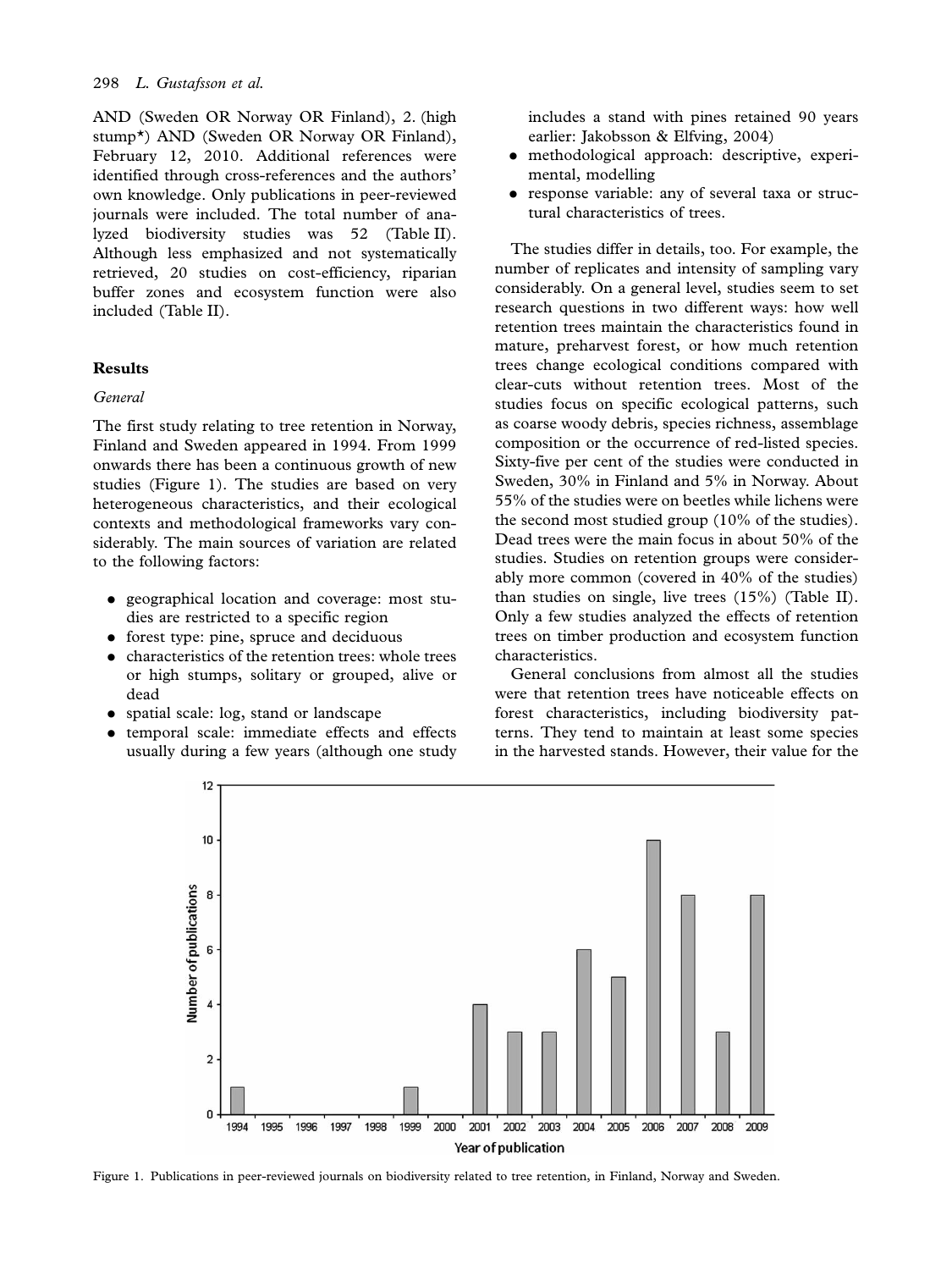AND (Sweden OR Norway OR Finland), 2. (high stump\*) AND (Sweden OR Norway OR Finland), February 12, 2010. Additional references were identified through cross-references and the authors' own knowledge. Only publications in peer-reviewed journals were included. The total number of analyzed biodiversity studies was 52 (Table II). Although less emphasized and not systematically retrieved, 20 studies on cost-efficiency, riparian buffer zones and ecosystem function were also included (Table II).

### Results

#### General

The first study relating to tree retention in Norway, Finland and Sweden appeared in 1994. From 1999 onwards there has been a continuous growth of new studies (Figure 1). The studies are based on very heterogeneous characteristics, and their ecological contexts and methodological frameworks vary considerably. The main sources of variation are related to the following factors:

- . geographical location and coverage: most studies are restricted to a specific region
- . forest type: pine, spruce and deciduous
- . characteristics of the retention trees: whole trees or high stumps, solitary or grouped, alive or dead
- . spatial scale: log, stand or landscape
- . temporal scale: immediate effects and effects usually during a few years (although one study

includes a stand with pines retained 90 years earlier: Jakobsson & Elfving, 2004)

- . methodological approach: descriptive, experimental, modelling
- . response variable: any of several taxa or structural characteristics of trees.

The studies differ in details, too. For example, the number of replicates and intensity of sampling vary considerably. On a general level, studies seem to set research questions in two different ways: how well retention trees maintain the characteristics found in mature, preharvest forest, or how much retention trees change ecological conditions compared with clear-cuts without retention trees. Most of the studies focus on specific ecological patterns, such as coarse woody debris, species richness, assemblage composition or the occurrence of red-listed species. Sixty-five per cent of the studies were conducted in Sweden, 30% in Finland and 5% in Norway. About 55% of the studies were on beetles while lichens were the second most studied group (10% of the studies). Dead trees were the main focus in about 50% of the studies. Studies on retention groups were considerably more common (covered in 40% of the studies) than studies on single, live trees (15%) (Table II). Only a few studies analyzed the effects of retention trees on timber production and ecosystem function characteristics.

General conclusions from almost all the studies were that retention trees have noticeable effects on forest characteristics, including biodiversity patterns. They tend to maintain at least some species in the harvested stands. However, their value for the



Figure 1. Publications in peer-reviewed journals on biodiversity related to tree retention, in Finland, Norway and Sweden.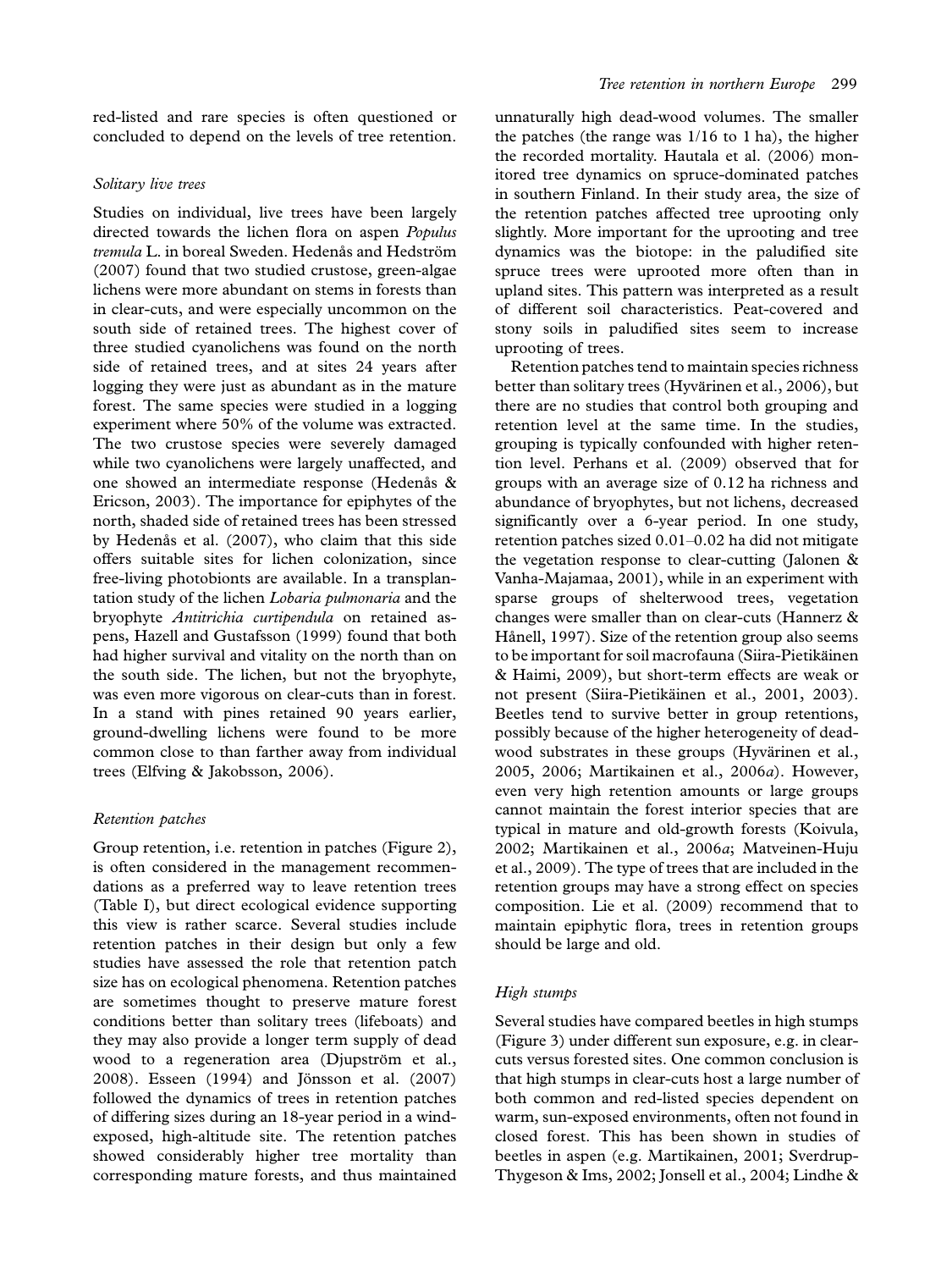red-listed and rare species is often questioned or concluded to depend on the levels of tree retention.

#### Solitary live trees

Studies on individual, live trees have been largely directed towards the lichen flora on aspen Populus tremula L. in boreal Sweden. Hedenås and Hedström (2007) found that two studied crustose, green-algae lichens were more abundant on stems in forests than in clear-cuts, and were especially uncommon on the south side of retained trees. The highest cover of three studied cyanolichens was found on the north side of retained trees, and at sites 24 years after logging they were just as abundant as in the mature forest. The same species were studied in a logging experiment where 50% of the volume was extracted. The two crustose species were severely damaged while two cyanolichens were largely unaffected, and one showed an intermediate response (Hedenas & Ericson, 2003). The importance for epiphytes of the north, shaded side of retained trees has been stressed by Hedenås et al. (2007), who claim that this side offers suitable sites for lichen colonization, since free-living photobionts are available. In a transplantation study of the lichen Lobaria pulmonaria and the bryophyte Antitrichia curtipendula on retained aspens, Hazell and Gustafsson (1999) found that both had higher survival and vitality on the north than on the south side. The lichen, but not the bryophyte, was even more vigorous on clear-cuts than in forest. In a stand with pines retained 90 years earlier, ground-dwelling lichens were found to be more common close to than farther away from individual trees (Elfving & Jakobsson, 2006).

### Retention patches

Group retention, i.e. retention in patches (Figure 2), is often considered in the management recommendations as a preferred way to leave retention trees (Table I), but direct ecological evidence supporting this view is rather scarce. Several studies include retention patches in their design but only a few studies have assessed the role that retention patch size has on ecological phenomena. Retention patches are sometimes thought to preserve mature forest conditions better than solitary trees (lifeboats) and they may also provide a longer term supply of dead wood to a regeneration area (Djupström et al., 2008). Esseen (1994) and Jönsson et al. (2007) followed the dynamics of trees in retention patches of differing sizes during an 18-year period in a windexposed, high-altitude site. The retention patches showed considerably higher tree mortality than corresponding mature forests, and thus maintained

unnaturally high dead-wood volumes. The smaller the patches (the range was 1/16 to 1 ha), the higher the recorded mortality. Hautala et al. (2006) monitored tree dynamics on spruce-dominated patches in southern Finland. In their study area, the size of the retention patches affected tree uprooting only slightly. More important for the uprooting and tree dynamics was the biotope: in the paludified site spruce trees were uprooted more often than in upland sites. This pattern was interpreted as a result of different soil characteristics. Peat-covered and stony soils in paludified sites seem to increase uprooting of trees.

Retention patches tend to maintain species richness better than solitary trees (Hyvärinen et al., 2006), but there are no studies that control both grouping and retention level at the same time. In the studies, grouping is typically confounded with higher retention level. Perhans et al. (2009) observed that for groups with an average size of 0.12 ha richness and abundance of bryophytes, but not lichens, decreased significantly over a 6-year period. In one study, retention patches sized  $0.01-0.02$  ha did not mitigate the vegetation response to clear-cutting (Jalonen & Vanha-Majamaa, 2001), while in an experiment with sparse groups of shelterwood trees, vegetation changes were smaller than on clear-cuts (Hannerz & Hånell, 1997). Size of the retention group also seems to be important for soil macrofauna (Siira-Pietikäinen & Haimi, 2009), but short-term effects are weak or not present (Siira-Pietikäinen et al., 2001, 2003). Beetles tend to survive better in group retentions, possibly because of the higher heterogeneity of deadwood substrates in these groups (Hyvärinen et al., 2005, 2006; Martikainen et al., 2006a). However, even very high retention amounts or large groups cannot maintain the forest interior species that are typical in mature and old-growth forests (Koivula, 2002; Martikainen et al., 2006a; Matveinen-Huju et al., 2009). The type of trees that are included in the retention groups may have a strong effect on species composition. Lie et al. (2009) recommend that to maintain epiphytic flora, trees in retention groups should be large and old.

### High stumps

Several studies have compared beetles in high stumps (Figure 3) under different sun exposure, e.g. in clearcuts versus forested sites. One common conclusion is that high stumps in clear-cuts host a large number of both common and red-listed species dependent on warm, sun-exposed environments, often not found in closed forest. This has been shown in studies of beetles in aspen (e.g. Martikainen, 2001; Sverdrup-Thygeson & Ims, 2002; Jonsell et al., 2004; Lindhe &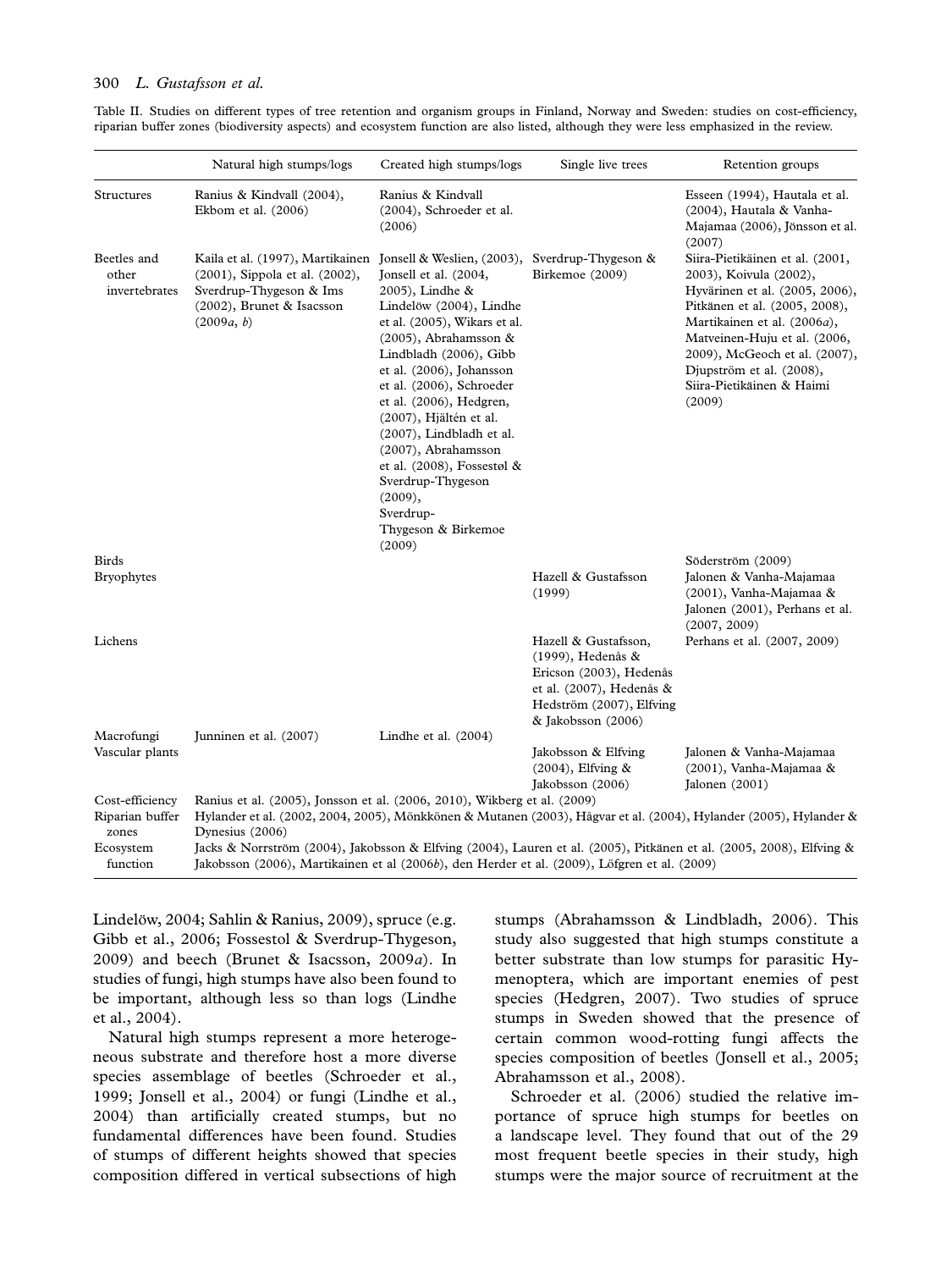#### 300 L. Gustafsson et al.

| Table II. Studies on different types of tree retention and organism groups in Finland, Norway and Sweden: studies on cost-efficiency,  |  |  |  |  |  |  |  |  |
|----------------------------------------------------------------------------------------------------------------------------------------|--|--|--|--|--|--|--|--|
| riparian buffer zones (biodiversity aspects) and ecosystem function are also listed, although they were less emphasized in the review. |  |  |  |  |  |  |  |  |

|                                       | Natural high stumps/logs                                                                                                                                                                                            | Created high stumps/logs                                                                                                                                                                                                                                                                                                                                                                                                                 | Single live trees                                                                                                                                     | Retention groups                                                                                                                                                                                                                                                                                |  |  |  |  |
|---------------------------------------|---------------------------------------------------------------------------------------------------------------------------------------------------------------------------------------------------------------------|------------------------------------------------------------------------------------------------------------------------------------------------------------------------------------------------------------------------------------------------------------------------------------------------------------------------------------------------------------------------------------------------------------------------------------------|-------------------------------------------------------------------------------------------------------------------------------------------------------|-------------------------------------------------------------------------------------------------------------------------------------------------------------------------------------------------------------------------------------------------------------------------------------------------|--|--|--|--|
| Structures                            | Ranius & Kindvall (2004),<br>Ekbom et al. (2006)                                                                                                                                                                    | Ranius & Kindvall<br>(2004), Schroeder et al.<br>(2006)                                                                                                                                                                                                                                                                                                                                                                                  |                                                                                                                                                       | Esseen (1994), Hautala et al.<br>(2004), Hautala & Vanha-<br>Majamaa (2006), Jönsson et al.<br>(2007)                                                                                                                                                                                           |  |  |  |  |
| Beetles and<br>other<br>invertebrates | Kaila et al. (1997), Martikainen Jonsell & Weslien, (2003), Sverdrup-Thygeson &<br>(2001), Sippola et al. (2002),<br>Sverdrup-Thygeson & Ims<br>(2002), Brunet & Isacsson<br>(2009a, b)                             | Jonsell et al. (2004,<br>2005), Lindhe &<br>Lindelöw (2004), Lindhe<br>et al. (2005), Wikars et al.<br>$(2005)$ , Abrahamsson &<br>Lindbladh (2006), Gibb<br>et al. (2006), Johansson<br>et al. (2006), Schroeder<br>et al. (2006), Hedgren,<br>$(2007)$ , Hjältén et al.<br>(2007), Lindbladh et al.<br>(2007), Abrahamsson<br>et al. (2008), Fossestøl &<br>Sverdrup-Thygeson<br>(2009),<br>Sverdrup-<br>Thygeson & Birkemoe<br>(2009) | Birkemoe (2009)                                                                                                                                       | Siira-Pietikäinen et al. (2001,<br>2003), Koivula (2002),<br>Hyvärinen et al. (2005, 2006),<br>Pitkänen et al. (2005, 2008),<br>Martikainen et al. (2006a),<br>Matveinen-Huju et al. (2006,<br>2009), McGeoch et al. (2007),<br>Djupström et al. (2008),<br>Siira-Pietikäinen & Haimi<br>(2009) |  |  |  |  |
| <b>Birds</b><br><b>Bryophytes</b>     |                                                                                                                                                                                                                     |                                                                                                                                                                                                                                                                                                                                                                                                                                          | Hazell & Gustafsson<br>(1999)                                                                                                                         | Söderström (2009)<br>Jalonen & Vanha-Majamaa<br>(2001), Vanha-Majamaa &<br>Jalonen (2001), Perhans et al.<br>(2007, 2009)                                                                                                                                                                       |  |  |  |  |
| Lichens                               |                                                                                                                                                                                                                     |                                                                                                                                                                                                                                                                                                                                                                                                                                          | Hazell & Gustafsson,<br>$(1999)$ , Hedenås &<br>Ericson (2003), Hedenås<br>et al. (2007), Hedenås &<br>Hedström (2007), Elfving<br>& Jakobsson (2006) | Perhans et al. (2007, 2009)                                                                                                                                                                                                                                                                     |  |  |  |  |
| Macrofungi                            | Junninen et al. (2007)                                                                                                                                                                                              | Lindhe et al. $(2004)$                                                                                                                                                                                                                                                                                                                                                                                                                   |                                                                                                                                                       |                                                                                                                                                                                                                                                                                                 |  |  |  |  |
| Vascular plants                       |                                                                                                                                                                                                                     |                                                                                                                                                                                                                                                                                                                                                                                                                                          | Jakobsson & Elfving<br>$(2004)$ , Elfving &<br>Jakobsson (2006)                                                                                       | Jalonen & Vanha-Majamaa<br>(2001), Vanha-Majamaa &<br>Jalonen (2001)                                                                                                                                                                                                                            |  |  |  |  |
| Cost-efficiency                       | Ranius et al. (2005), Jonsson et al. (2006, 2010), Wikberg et al. (2009)                                                                                                                                            |                                                                                                                                                                                                                                                                                                                                                                                                                                          |                                                                                                                                                       |                                                                                                                                                                                                                                                                                                 |  |  |  |  |
| Riparian buffer<br>zones              | Hylander et al. (2002, 2004, 2005), Mönkkönen & Mutanen (2003), Hågvar et al. (2004), Hylander (2005), Hylander &<br>Dynesius (2006)                                                                                |                                                                                                                                                                                                                                                                                                                                                                                                                                          |                                                                                                                                                       |                                                                                                                                                                                                                                                                                                 |  |  |  |  |
| Ecosystem<br>function                 | Jacks & Norrström (2004), Jakobsson & Elfving (2004), Lauren et al. (2005), Pitkänen et al. (2005, 2008), Elfving &<br>Jakobsson (2006), Martikainen et al (2006b), den Herder et al. (2009), Löfgren et al. (2009) |                                                                                                                                                                                                                                                                                                                                                                                                                                          |                                                                                                                                                       |                                                                                                                                                                                                                                                                                                 |  |  |  |  |

Lindelöw, 2004; Sahlin & Ranius, 2009), spruce (e.g. Gibb et al., 2006; Fossestol & Sverdrup-Thygeson, 2009) and beech (Brunet & Isacsson, 2009a). In studies of fungi, high stumps have also been found to be important, although less so than logs (Lindhe et al., 2004).

Natural high stumps represent a more heterogeneous substrate and therefore host a more diverse species assemblage of beetles (Schroeder et al., 1999; Jonsell et al., 2004) or fungi (Lindhe et al., 2004) than artificially created stumps, but no fundamental differences have been found. Studies of stumps of different heights showed that species composition differed in vertical subsections of high

stumps (Abrahamsson & Lindbladh, 2006). This study also suggested that high stumps constitute a better substrate than low stumps for parasitic Hymenoptera, which are important enemies of pest species (Hedgren, 2007). Two studies of spruce stumps in Sweden showed that the presence of certain common wood-rotting fungi affects the species composition of beetles (Jonsell et al., 2005; Abrahamsson et al., 2008).

Schroeder et al. (2006) studied the relative importance of spruce high stumps for beetles on a landscape level. They found that out of the 29 most frequent beetle species in their study, high stumps were the major source of recruitment at the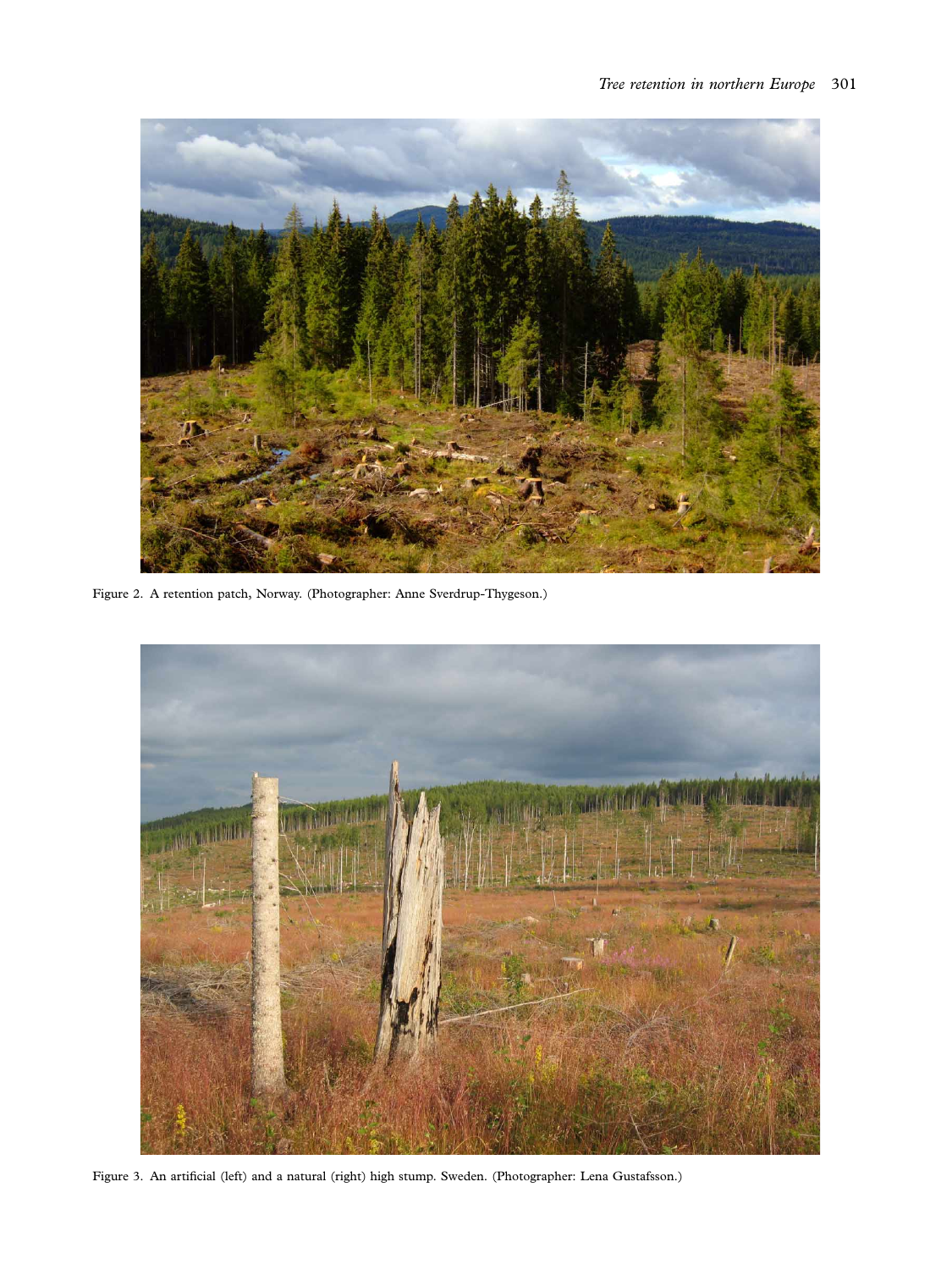

Figure 2. A retention patch, Norway. (Photographer: Anne Sverdrup-Thygeson.)



Figure 3. An artificial (left) and a natural (right) high stump. Sweden. (Photographer: Lena Gustafsson.)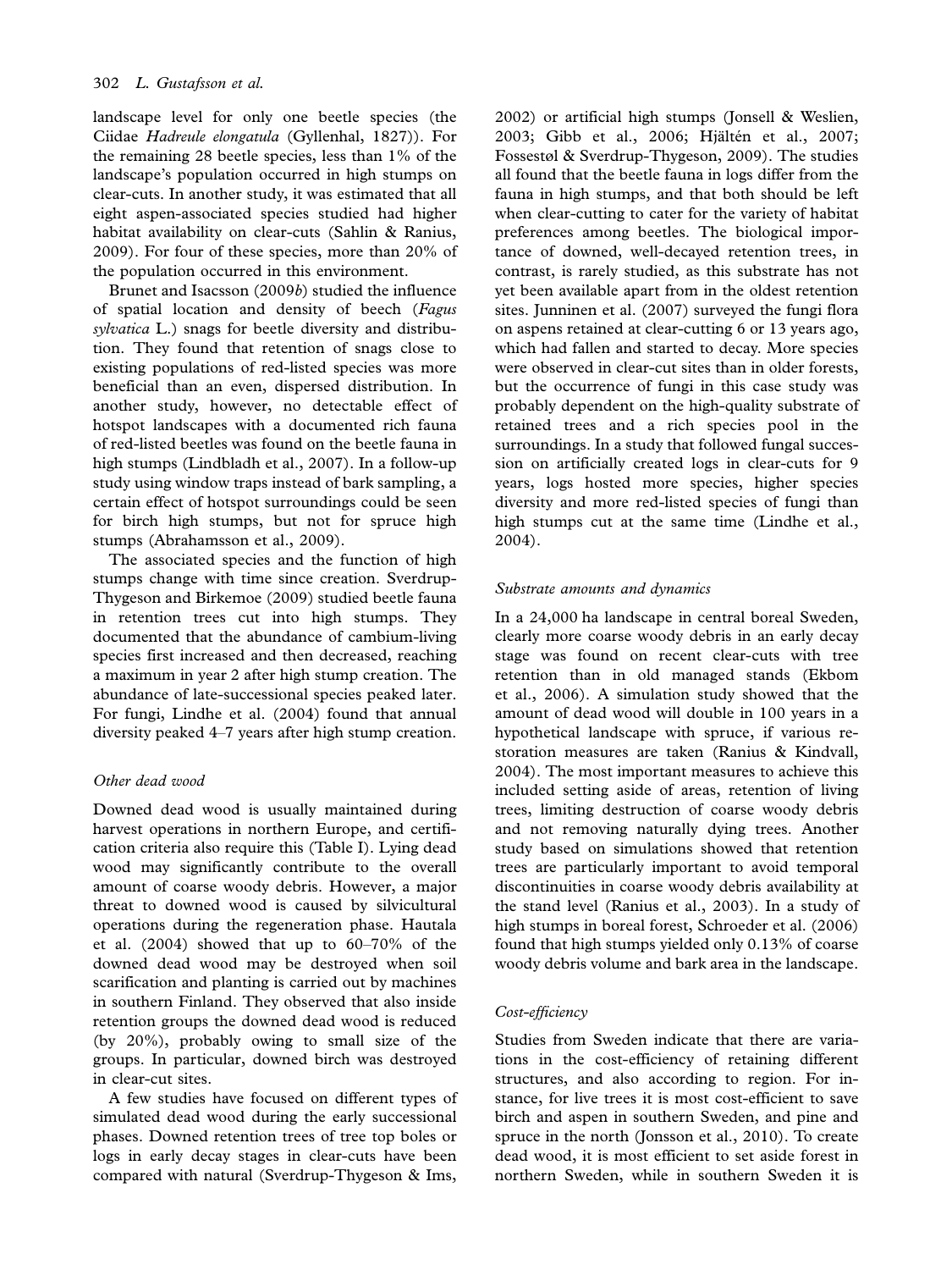landscape level for only one beetle species (the Ciidae Hadreule elongatula (Gyllenhal, 1827)). For the remaining 28 beetle species, less than 1% of the landscape's population occurred in high stumps on clear-cuts. In another study, it was estimated that all eight aspen-associated species studied had higher habitat availability on clear-cuts (Sahlin & Ranius, 2009). For four of these species, more than 20% of the population occurred in this environment.

Brunet and Isacsson (2009b) studied the influence of spatial location and density of beech (Fagus sylvatica L.) snags for beetle diversity and distribution. They found that retention of snags close to existing populations of red-listed species was more beneficial than an even, dispersed distribution. In another study, however, no detectable effect of hotspot landscapes with a documented rich fauna of red-listed beetles was found on the beetle fauna in high stumps (Lindbladh et al., 2007). In a follow-up study using window traps instead of bark sampling, a certain effect of hotspot surroundings could be seen for birch high stumps, but not for spruce high stumps (Abrahamsson et al., 2009).

The associated species and the function of high stumps change with time since creation. Sverdrup-Thygeson and Birkemoe (2009) studied beetle fauna in retention trees cut into high stumps. They documented that the abundance of cambium-living species first increased and then decreased, reaching a maximum in year 2 after high stump creation. The abundance of late-successional species peaked later. For fungi, Lindhe et al. (2004) found that annual diversity peaked  $4-7$  years after high stump creation.

### Other dead wood

Downed dead wood is usually maintained during harvest operations in northern Europe, and certification criteria also require this (Table I). Lying dead wood may significantly contribute to the overall amount of coarse woody debris. However, a major threat to downed wood is caused by silvicultural operations during the regeneration phase. Hautala et al.  $(2004)$  showed that up to  $60-70\%$  of the downed dead wood may be destroyed when soil scarification and planting is carried out by machines in southern Finland. They observed that also inside retention groups the downed dead wood is reduced (by 20%), probably owing to small size of the groups. In particular, downed birch was destroyed in clear-cut sites.

A few studies have focused on different types of simulated dead wood during the early successional phases. Downed retention trees of tree top boles or logs in early decay stages in clear-cuts have been compared with natural (Sverdrup-Thygeson & Ims,

2002) or artificial high stumps (Jonsell & Weslien, 2003; Gibb et al., 2006; Hjältén et al., 2007; Fossestøl & Sverdrup-Thygeson, 2009). The studies all found that the beetle fauna in logs differ from the fauna in high stumps, and that both should be left when clear-cutting to cater for the variety of habitat preferences among beetles. The biological importance of downed, well-decayed retention trees, in contrast, is rarely studied, as this substrate has not yet been available apart from in the oldest retention sites. Junninen et al. (2007) surveyed the fungi flora on aspens retained at clear-cutting 6 or 13 years ago, which had fallen and started to decay. More species were observed in clear-cut sites than in older forests, but the occurrence of fungi in this case study was probably dependent on the high-quality substrate of retained trees and a rich species pool in the surroundings. In a study that followed fungal succession on artificially created logs in clear-cuts for 9 years, logs hosted more species, higher species diversity and more red-listed species of fungi than high stumps cut at the same time (Lindhe et al., 2004).

#### Substrate amounts and dynamics

In a 24,000 ha landscape in central boreal Sweden, clearly more coarse woody debris in an early decay stage was found on recent clear-cuts with tree retention than in old managed stands (Ekbom et al., 2006). A simulation study showed that the amount of dead wood will double in 100 years in a hypothetical landscape with spruce, if various restoration measures are taken (Ranius & Kindvall, 2004). The most important measures to achieve this included setting aside of areas, retention of living trees, limiting destruction of coarse woody debris and not removing naturally dying trees. Another study based on simulations showed that retention trees are particularly important to avoid temporal discontinuities in coarse woody debris availability at the stand level (Ranius et al., 2003). In a study of high stumps in boreal forest, Schroeder et al. (2006) found that high stumps yielded only 0.13% of coarse woody debris volume and bark area in the landscape.

#### Cost-efficiency

Studies from Sweden indicate that there are variations in the cost-efficiency of retaining different structures, and also according to region. For instance, for live trees it is most cost-efficient to save birch and aspen in southern Sweden, and pine and spruce in the north (Jonsson et al., 2010). To create dead wood, it is most efficient to set aside forest in northern Sweden, while in southern Sweden it is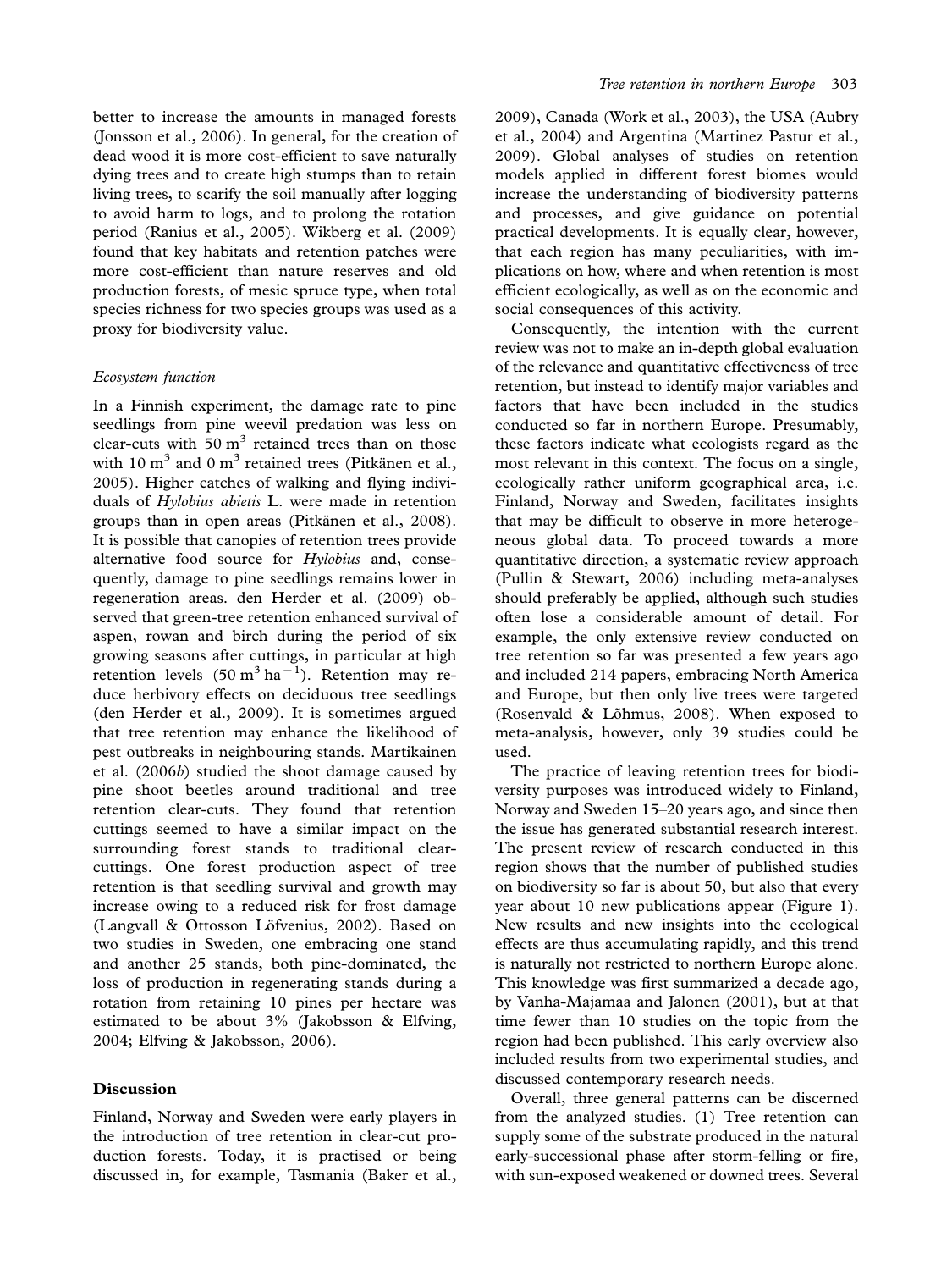better to increase the amounts in managed forests (Jonsson et al., 2006). In general, for the creation of dead wood it is more cost-efficient to save naturally dying trees and to create high stumps than to retain living trees, to scarify the soil manually after logging to avoid harm to logs, and to prolong the rotation period (Ranius et al., 2005). Wikberg et al. (2009) found that key habitats and retention patches were more cost-efficient than nature reserves and old production forests, of mesic spruce type, when total species richness for two species groups was used as a proxy for biodiversity value.

#### Ecosystem function

In a Finnish experiment, the damage rate to pine seedlings from pine weevil predation was less on clear-cuts with  $50 \text{ m}^3$  retained trees than on those with 10  $m<sup>3</sup>$  and 0  $m<sup>3</sup>$  retained trees (Pitkänen et al., 2005). Higher catches of walking and flying individuals of Hylobius abietis L. were made in retention groups than in open areas (Pitkänen et al., 2008). It is possible that canopies of retention trees provide alternative food source for Hylobius and, consequently, damage to pine seedlings remains lower in regeneration areas. den Herder et al. (2009) observed that green-tree retention enhanced survival of aspen, rowan and birch during the period of six growing seasons after cuttings, in particular at high retention levels  $(50 \text{ m}^3 \text{ ha}^{-1})$ . Retention may reduce herbivory effects on deciduous tree seedlings (den Herder et al., 2009). It is sometimes argued that tree retention may enhance the likelihood of pest outbreaks in neighbouring stands. Martikainen et al. (2006b) studied the shoot damage caused by pine shoot beetles around traditional and tree retention clear-cuts. They found that retention cuttings seemed to have a similar impact on the surrounding forest stands to traditional clearcuttings. One forest production aspect of tree retention is that seedling survival and growth may increase owing to a reduced risk for frost damage (Langvall & Ottosson Löfvenius, 2002). Based on two studies in Sweden, one embracing one stand and another 25 stands, both pine-dominated, the loss of production in regenerating stands during a rotation from retaining 10 pines per hectare was estimated to be about 3% (Jakobsson & Elfving, 2004; Elfving & Jakobsson, 2006).

# Discussion

Finland, Norway and Sweden were early players in the introduction of tree retention in clear-cut production forests. Today, it is practised or being discussed in, for example, Tasmania (Baker et al.,

2009), Canada (Work et al., 2003), the USA (Aubry et al., 2004) and Argentina (Martinez Pastur et al., 2009). Global analyses of studies on retention models applied in different forest biomes would increase the understanding of biodiversity patterns and processes, and give guidance on potential practical developments. It is equally clear, however, that each region has many peculiarities, with implications on how, where and when retention is most efficient ecologically, as well as on the economic and social consequences of this activity.

Consequently, the intention with the current review was not to make an in-depth global evaluation of the relevance and quantitative effectiveness of tree retention, but instead to identify major variables and factors that have been included in the studies conducted so far in northern Europe. Presumably, these factors indicate what ecologists regard as the most relevant in this context. The focus on a single, ecologically rather uniform geographical area, i.e. Finland, Norway and Sweden, facilitates insights that may be difficult to observe in more heterogeneous global data. To proceed towards a more quantitative direction, a systematic review approach (Pullin & Stewart, 2006) including meta-analyses should preferably be applied, although such studies often lose a considerable amount of detail. For example, the only extensive review conducted on tree retention so far was presented a few years ago and included 214 papers, embracing North America and Europe, but then only live trees were targeted (Rosenvald & Lõhmus, 2008). When exposed to meta-analysis, however, only 39 studies could be used.

The practice of leaving retention trees for biodiversity purposes was introduced widely to Finland, Norway and Sweden 15-20 years ago, and since then the issue has generated substantial research interest. The present review of research conducted in this region shows that the number of published studies on biodiversity so far is about 50, but also that every year about 10 new publications appear (Figure 1). New results and new insights into the ecological effects are thus accumulating rapidly, and this trend is naturally not restricted to northern Europe alone. This knowledge was first summarized a decade ago, by Vanha-Majamaa and Jalonen (2001), but at that time fewer than 10 studies on the topic from the region had been published. This early overview also included results from two experimental studies, and discussed contemporary research needs.

Overall, three general patterns can be discerned from the analyzed studies. (1) Tree retention can supply some of the substrate produced in the natural early-successional phase after storm-felling or fire, with sun-exposed weakened or downed trees. Several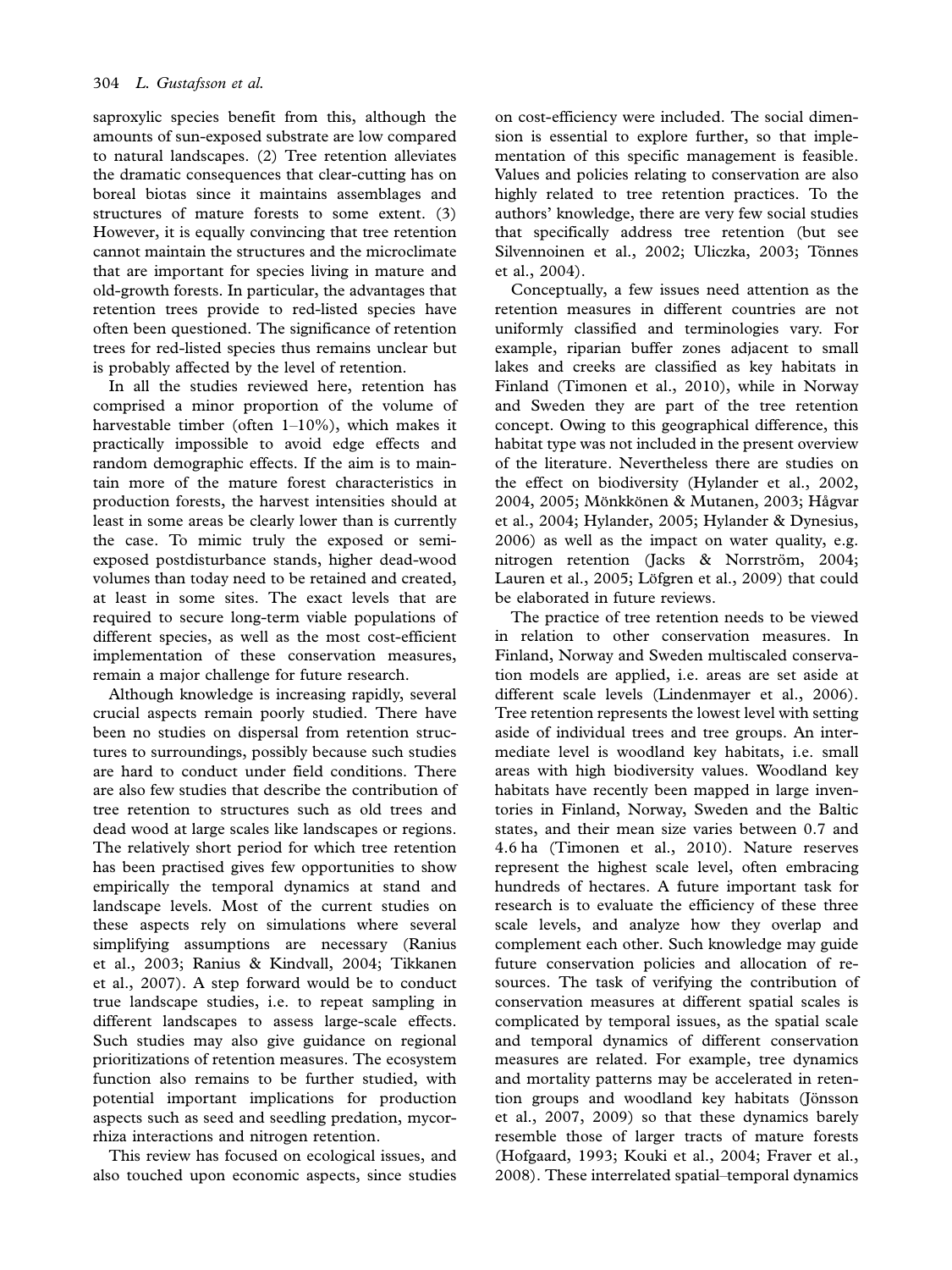saproxylic species benefit from this, although the amounts of sun-exposed substrate are low compared to natural landscapes. (2) Tree retention alleviates the dramatic consequences that clear-cutting has on boreal biotas since it maintains assemblages and structures of mature forests to some extent. (3) However, it is equally convincing that tree retention cannot maintain the structures and the microclimate that are important for species living in mature and old-growth forests. In particular, the advantages that retention trees provide to red-listed species have often been questioned. The significance of retention trees for red-listed species thus remains unclear but is probably affected by the level of retention.

In all the studies reviewed here, retention has comprised a minor proportion of the volume of harvestable timber (often  $1-10\%$ ), which makes it practically impossible to avoid edge effects and random demographic effects. If the aim is to maintain more of the mature forest characteristics in production forests, the harvest intensities should at least in some areas be clearly lower than is currently the case. To mimic truly the exposed or semiexposed postdisturbance stands, higher dead-wood volumes than today need to be retained and created, at least in some sites. The exact levels that are required to secure long-term viable populations of different species, as well as the most cost-efficient implementation of these conservation measures, remain a major challenge for future research.

Although knowledge is increasing rapidly, several crucial aspects remain poorly studied. There have been no studies on dispersal from retention structures to surroundings, possibly because such studies are hard to conduct under field conditions. There are also few studies that describe the contribution of tree retention to structures such as old trees and dead wood at large scales like landscapes or regions. The relatively short period for which tree retention has been practised gives few opportunities to show empirically the temporal dynamics at stand and landscape levels. Most of the current studies on these aspects rely on simulations where several simplifying assumptions are necessary (Ranius et al., 2003; Ranius & Kindvall, 2004; Tikkanen et al., 2007). A step forward would be to conduct true landscape studies, i.e. to repeat sampling in different landscapes to assess large-scale effects. Such studies may also give guidance on regional prioritizations of retention measures. The ecosystem function also remains to be further studied, with potential important implications for production aspects such as seed and seedling predation, mycorrhiza interactions and nitrogen retention.

This review has focused on ecological issues, and also touched upon economic aspects, since studies

on cost-efficiency were included. The social dimension is essential to explore further, so that implementation of this specific management is feasible. Values and policies relating to conservation are also highly related to tree retention practices. To the authors' knowledge, there are very few social studies that specifically address tree retention (but see Silvennoinen et al., 2002; Uliczka, 2003; Tönnes et al., 2004).

Conceptually, a few issues need attention as the retention measures in different countries are not uniformly classified and terminologies vary. For example, riparian buffer zones adjacent to small lakes and creeks are classified as key habitats in Finland (Timonen et al., 2010), while in Norway and Sweden they are part of the tree retention concept. Owing to this geographical difference, this habitat type was not included in the present overview of the literature. Nevertheless there are studies on the effect on biodiversity (Hylander et al., 2002, 2004, 2005; Mönkkönen & Mutanen, 2003; Hågvar et al., 2004; Hylander, 2005; Hylander & Dynesius, 2006) as well as the impact on water quality, e.g. nitrogen retention (Jacks & Norrström, 2004; Lauren et al., 2005; Löfgren et al., 2009) that could be elaborated in future reviews.

The practice of tree retention needs to be viewed in relation to other conservation measures. In Finland, Norway and Sweden multiscaled conservation models are applied, i.e. areas are set aside at different scale levels (Lindenmayer et al., 2006). Tree retention represents the lowest level with setting aside of individual trees and tree groups. An intermediate level is woodland key habitats, i.e. small areas with high biodiversity values. Woodland key habitats have recently been mapped in large inventories in Finland, Norway, Sweden and the Baltic states, and their mean size varies between 0.7 and 4.6 ha (Timonen et al., 2010). Nature reserves represent the highest scale level, often embracing hundreds of hectares. A future important task for research is to evaluate the efficiency of these three scale levels, and analyze how they overlap and complement each other. Such knowledge may guide future conservation policies and allocation of resources. The task of verifying the contribution of conservation measures at different spatial scales is complicated by temporal issues, as the spatial scale and temporal dynamics of different conservation measures are related. For example, tree dynamics and mortality patterns may be accelerated in retention groups and woodland key habitats (Jönsson et al., 2007, 2009) so that these dynamics barely resemble those of larger tracts of mature forests (Hofgaard, 1993; Kouki et al., 2004; Fraver et al., 2008). These interrelated spatial-temporal dynamics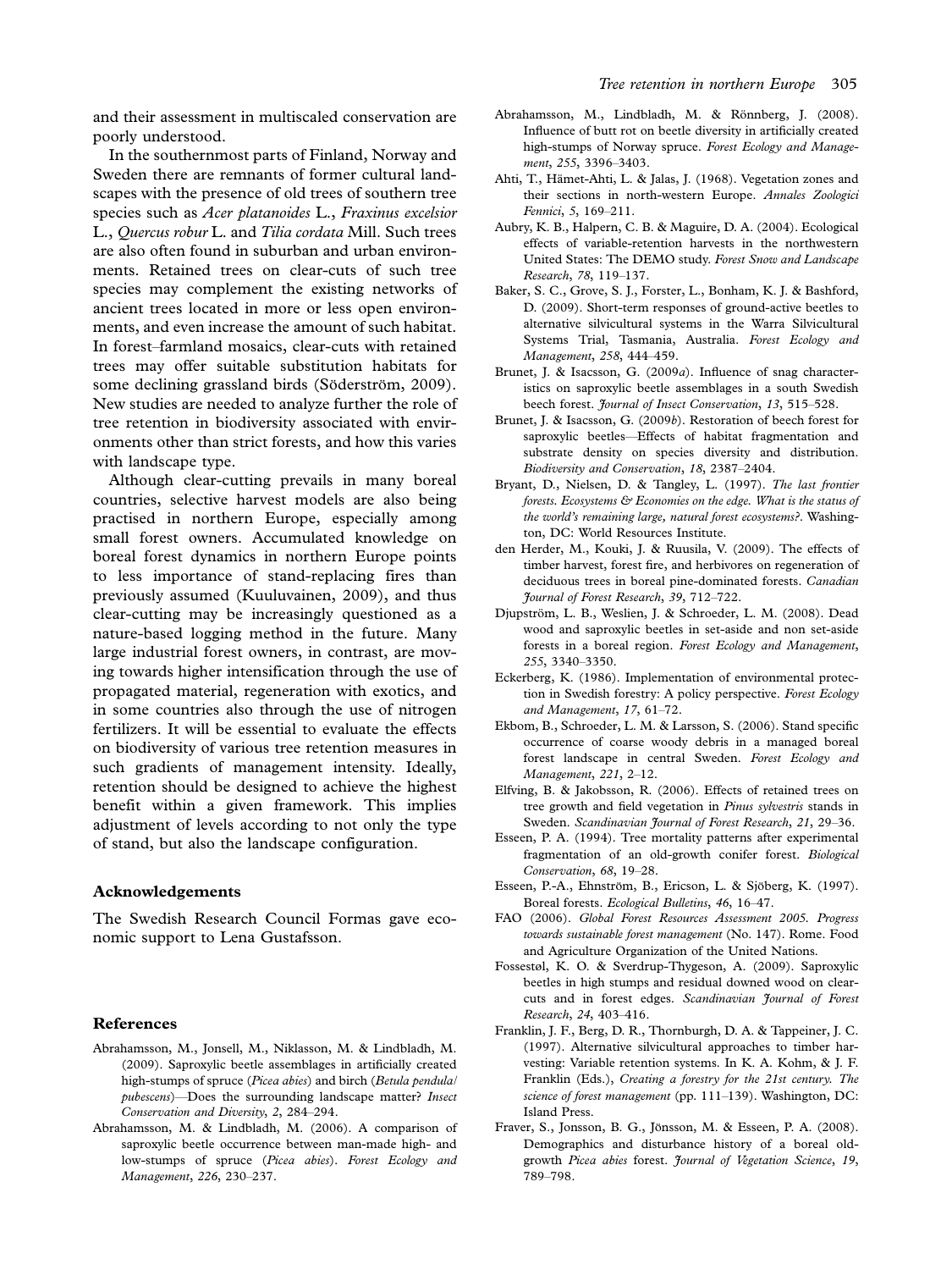and their assessment in multiscaled conservation are poorly understood.

In the southernmost parts of Finland, Norway and Sweden there are remnants of former cultural landscapes with the presence of old trees of southern tree species such as Acer platanoides L., Fraxinus excelsior L., Quercus robur L. and Tilia cordata Mill. Such trees are also often found in suburban and urban environments. Retained trees on clear-cuts of such tree species may complement the existing networks of ancient trees located in more or less open environments, and even increase the amount of such habitat. In forest-farmland mosaics, clear-cuts with retained trees may offer suitable substitution habitats for some declining grassland birds (Söderström, 2009). New studies are needed to analyze further the role of tree retention in biodiversity associated with environments other than strict forests, and how this varies with landscape type.

Although clear-cutting prevails in many boreal countries, selective harvest models are also being practised in northern Europe, especially among small forest owners. Accumulated knowledge on boreal forest dynamics in northern Europe points to less importance of stand-replacing fires than previously assumed (Kuuluvainen, 2009), and thus clear-cutting may be increasingly questioned as a nature-based logging method in the future. Many large industrial forest owners, in contrast, are moving towards higher intensification through the use of propagated material, regeneration with exotics, and in some countries also through the use of nitrogen fertilizers. It will be essential to evaluate the effects on biodiversity of various tree retention measures in such gradients of management intensity. Ideally, retention should be designed to achieve the highest benefit within a given framework. This implies adjustment of levels according to not only the type of stand, but also the landscape configuration.

#### Acknowledgements

The Swedish Research Council Formas gave economic support to Lena Gustafsson.

#### References

- Abrahamsson, M., Jonsell, M., Niklasson, M. & Lindbladh, M. (2009). Saproxylic beetle assemblages in artificially created high-stumps of spruce (Picea abies) and birch (Betula pendula/ pubescens)—Does the surrounding landscape matter? Insect Conservation and Diversity, 2, 284-294.
- Abrahamsson, M. & Lindbladh, M. (2006). A comparison of saproxylic beetle occurrence between man-made high- and low-stumps of spruce (Picea abies). Forest Ecology and Management, 226, 230-237.
- Abrahamsson, M., Lindbladh, M. & Rönnberg, J. (2008). Influence of butt rot on beetle diversity in artificially created high-stumps of Norway spruce. Forest Ecology and Management, 255, 3396-3403.
- Ahti, T., Hämet-Ahti, L. & Jalas, J. (1968). Vegetation zones and their sections in north-western Europe. Annales Zoologici Fennici, 5, 169-211.
- Aubry, K. B., Halpern, C. B. & Maguire, D. A. (2004). Ecological effects of variable-retention harvests in the northwestern United States: The DEMO study. Forest Snow and Landscape Research, 78, 119-137.
- Baker, S. C., Grove, S. J., Forster, L., Bonham, K. J. & Bashford, D. (2009). Short-term responses of ground-active beetles to alternative silvicultural systems in the Warra Silvicultural Systems Trial, Tasmania, Australia. Forest Ecology and Management, 258, 444-459.
- Brunet, J. & Isacsson, G. (2009a). Influence of snag characteristics on saproxylic beetle assemblages in a south Swedish beech forest. Journal of Insect Conservation, 13, 515-528.
- Brunet, J. & Isacsson, G. (2009b). Restoration of beech forest for saproxylic beetles-Effects of habitat fragmentation and substrate density on species diversity and distribution. Biodiversity and Conservation, 18, 2387-2404.
- Bryant, D., Nielsen, D. & Tangley, L. (1997). The last frontier forests. Ecosystems & Economies on the edge. What is the status of the world's remaining large, natural forest ecosystems?. Washington, DC: World Resources Institute.
- den Herder, M., Kouki, J. & Ruusila, V. (2009). The effects of timber harvest, forest fire, and herbivores on regeneration of deciduous trees in boreal pine-dominated forests. Canadian Journal of Forest Research, 39, 712-722.
- Djupström, L. B., Weslien, J. & Schroeder, L. M. (2008). Dead wood and saproxylic beetles in set-aside and non set-aside forests in a boreal region. Forest Ecology and Management, 255, 3340-3350.
- Eckerberg, K. (1986). Implementation of environmental protection in Swedish forestry: A policy perspective. Forest Ecology and Management,  $17, 61-72$ .
- Ekbom, B., Schroeder, L. M. & Larsson, S. (2006). Stand specific occurrence of coarse woody debris in a managed boreal forest landscape in central Sweden. Forest Ecology and Management, 221, 2-12.
- Elfving, B. & Jakobsson, R. (2006). Effects of retained trees on tree growth and field vegetation in Pinus sylvestris stands in Sweden. Scandinavian Journal of Forest Research, 21, 29-36.
- Esseen, P. A. (1994). Tree mortality patterns after experimental fragmentation of an old-growth conifer forest. Biological Conservation, 68, 19-28.
- Esseen, P.-A., Ehnström, B., Ericson, L. & Sjöberg, K. (1997). Boreal forests. Ecological Bulletins, 46, 16-47.
- FAO (2006). Global Forest Resources Assessment 2005. Progress towards sustainable forest management (No. 147). Rome. Food and Agriculture Organization of the United Nations.
- Fossestøl, K. O. & Sverdrup-Thygeson, A. (2009). Saproxylic beetles in high stumps and residual downed wood on clearcuts and in forest edges. Scandinavian Journal of Forest Research, 24, 403-416.
- Franklin, J. F., Berg, D. R., Thornburgh, D. A. & Tappeiner, J. C. (1997). Alternative silvicultural approaches to timber harvesting: Variable retention systems. In K. A. Kohm, & J. F. Franklin (Eds.), Creating a forestry for the 21st century. The science of forest management (pp. 111-139). Washington, DC: Island Press.
- Fraver, S., Jonsson, B. G., Jönsson, M. & Esseen, P. A. (2008). Demographics and disturbance history of a boreal oldgrowth Picea abies forest. Journal of Vegetation Science, 19, 789-798.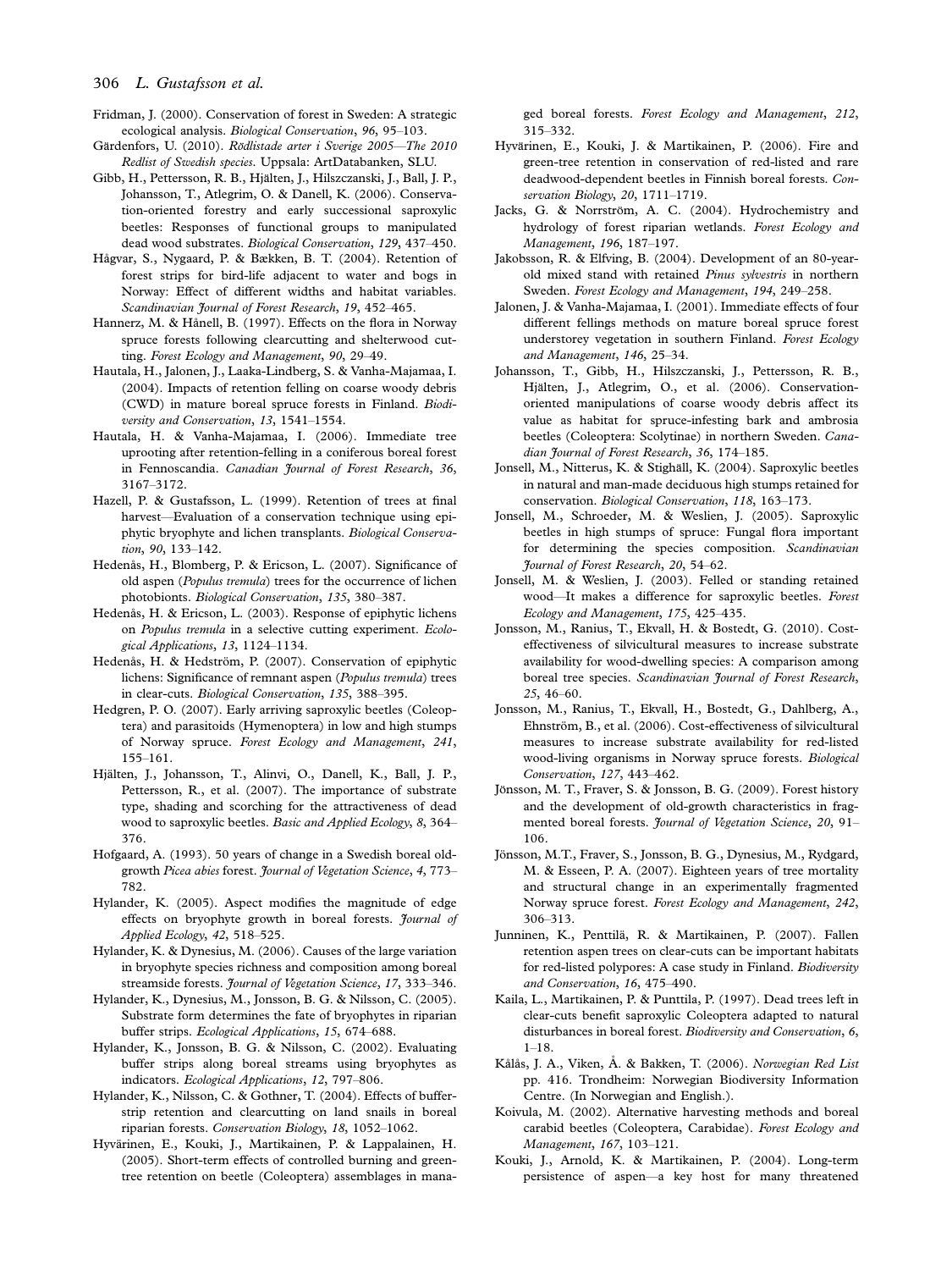#### 306 L. Gustafsson et al.

- Fridman, J. (2000). Conservation of forest in Sweden: A strategic ecological analysis. Biological Conservation, 96, 95-103.
- Gärdenfors, U. (2010). Rödlistade arter i Sverige 2005-The 2010 Redlist of Swedish species. Uppsala: ArtDatabanken, SLU.
- Gibb, H., Pettersson, R. B., Hjälten, J., Hilszczanski, J., Ball, J. P., Johansson, T., Atlegrim, O. & Danell, K. (2006). Conservation-oriented forestry and early successional saproxylic beetles: Responses of functional groups to manipulated dead wood substrates. Biological Conservation, 129, 437-450.
- Hågvar, S., Nygaard, P. & Bækken, B. T. (2004). Retention of forest strips for bird-life adjacent to water and bogs in Norway: Effect of different widths and habitat variables. Scandinavian Journal of Forest Research, 19, 452-465.
- Hannerz, M. & Hånell, B. (1997). Effects on the flora in Norway spruce forests following clearcutting and shelterwood cutting. Forest Ecology and Management, 90, 29-49.
- Hautala, H., Jalonen, J., Laaka-Lindberg, S. & Vanha-Majamaa, I. (2004). Impacts of retention felling on coarse woody debris (CWD) in mature boreal spruce forests in Finland. Biodiversity and Conservation, 13, 1541-1554.
- Hautala, H. & Vanha-Majamaa, I. (2006). Immediate tree uprooting after retention-felling in a coniferous boreal forest in Fennoscandia. Canadian Journal of Forest Research, 36, 3167-3172.
- Hazell, P. & Gustafsson, L. (1999). Retention of trees at final harvest-Evaluation of a conservation technique using epiphytic bryophyte and lichen transplants. Biological Conservation, 90, 133-142.
- Hedenås, H., Blomberg, P. & Ericson, L. (2007). Significance of old aspen (Populus tremula) trees for the occurrence of lichen photobionts. Biological Conservation, 135, 380-387.
- Hedenås, H. & Ericson, L. (2003). Response of epiphytic lichens on Populus tremula in a selective cutting experiment. Ecological Applications, 13, 1124-1134.
- Hedenås, H. & Hedström, P. (2007). Conservation of epiphytic lichens: Significance of remnant aspen (Populus tremula) trees in clear-cuts. Biological Conservation, 135, 388-395.
- Hedgren, P. O. (2007). Early arriving saproxylic beetles (Coleoptera) and parasitoids (Hymenoptera) in low and high stumps of Norway spruce. Forest Ecology and Management, 241, 155-161.
- Hjälten, J., Johansson, T., Alinvi, O., Danell, K., Ball, J. P., Pettersson, R., et al. (2007). The importance of substrate type, shading and scorching for the attractiveness of dead wood to saproxylic beetles. Basic and Applied Ecology, 8, 364– 376.
- Hofgaard, A. (1993). 50 years of change in a Swedish boreal oldgrowth Picea abies forest. Journal of Vegetation Science, 4, 773 782.
- Hylander, K. (2005). Aspect modifies the magnitude of edge effects on bryophyte growth in boreal forests. Journal of Applied Ecology, 42, 518-525.
- Hylander, K. & Dynesius, M. (2006). Causes of the large variation in bryophyte species richness and composition among boreal streamside forests. Journal of Vegetation Science, 17, 333-346.
- Hylander, K., Dynesius, M., Jonsson, B. G. & Nilsson, C. (2005). Substrate form determines the fate of bryophytes in riparian buffer strips. Ecological Applications, 15, 674-688.
- Hylander, K., Jonsson, B. G. & Nilsson, C. (2002). Evaluating buffer strips along boreal streams using bryophytes as indicators. Ecological Applications, 12, 797-806.
- Hylander, K., Nilsson, C. & Gothner, T. (2004). Effects of bufferstrip retention and clearcutting on land snails in boreal riparian forests. Conservation Biology, 18, 1052-1062.
- Hyvärinen, E., Kouki, J., Martikainen, P. & Lappalainen, H. (2005). Short-term effects of controlled burning and greentree retention on beetle (Coleoptera) assemblages in mana-

ged boreal forests. Forest Ecology and Management, 212, 315332.

- Hyvärinen, E., Kouki, J. & Martikainen, P. (2006). Fire and green-tree retention in conservation of red-listed and rare deadwood-dependent beetles in Finnish boreal forests. Conservation Biology, 20,  $1711-1719$ .
- Jacks, G. & Norrström, A. C. (2004). Hydrochemistry and hydrology of forest riparian wetlands. Forest Ecology and Management, 196, 187-197.
- Jakobsson, R. & Elfving, B. (2004). Development of an 80-yearold mixed stand with retained Pinus sylvestris in northern Sweden. Forest Ecology and Management, 194, 249-258.
- Jalonen, J. & Vanha-Majamaa, I. (2001). Immediate effects of four different fellings methods on mature boreal spruce forest understorey vegetation in southern Finland. Forest Ecology and Management,  $146$ ,  $25-34$ .
- Johansson, T., Gibb, H., Hilszczanski, J., Pettersson, R. B., Hjälten, J., Atlegrim, O., et al. (2006). Conservationoriented manipulations of coarse woody debris affect its value as habitat for spruce-infesting bark and ambrosia beetles (Coleoptera: Scolytinae) in northern Sweden. Canadian Journal of Forest Research, 36, 174-185.
- Jonsell, M., Nitterus, K. & Stighäll, K. (2004). Saproxylic beetles in natural and man-made deciduous high stumps retained for conservation. Biological Conservation, 118, 163-173.
- Jonsell, M., Schroeder, M. & Weslien, J. (2005). Saproxylic beetles in high stumps of spruce: Fungal flora important for determining the species composition. Scandinavian Journal of Forest Research, 20, 54-62.
- Jonsell, M. & Weslien, J. (2003). Felled or standing retained wood-It makes a difference for saproxylic beetles. Forest Ecology and Management, 175, 425-435.
- Jonsson, M., Ranius, T., Ekvall, H. & Bostedt, G. (2010). Costeffectiveness of silvicultural measures to increase substrate availability for wood-dwelling species: A comparison among boreal tree species. Scandinavian Journal of Forest Research,  $25, 46 - 60.$
- Jonsson, M., Ranius, T., Ekvall, H., Bostedt, G., Dahlberg, A., Ehnström, B., et al. (2006). Cost-effectiveness of silvicultural measures to increase substrate availability for red-listed wood-living organisms in Norway spruce forests. Biological Conservation, 127, 443-462.
- Jönsson, M. T., Fraver, S. & Jonsson, B. G. (2009). Forest history and the development of old-growth characteristics in fragmented boreal forests. Journal of Vegetation Science, 20, 91-106.
- Jönsson, M.T., Fraver, S., Jonsson, B. G., Dynesius, M., Rydgard, M. & Esseen, P. A. (2007). Eighteen years of tree mortality and structural change in an experimentally fragmented Norway spruce forest. Forest Ecology and Management, 242, 306-313.
- Junninen, K., Penttilä, R. & Martikainen, P. (2007). Fallen retention aspen trees on clear-cuts can be important habitats for red-listed polypores: A case study in Finland. Biodiversity and Conservation, 16, 475-490.
- Kaila, L., Martikainen, P. & Punttila, P. (1997). Dead trees left in clear-cuts benefit saproxylic Coleoptera adapted to natural disturbances in boreal forest. Biodiversity and Conservation, 6,  $1-18$ .
- Kålås, J. A., Viken, Å. & Bakken, T. (2006). Norwegian Red List pp. 416. Trondheim: Norwegian Biodiversity Information Centre. (In Norwegian and English.).
- Koivula, M. (2002). Alternative harvesting methods and boreal carabid beetles (Coleoptera, Carabidae). Forest Ecology and Management, 167, 103-121.
- Kouki, J., Arnold, K. & Martikainen, P. (2004). Long-term persistence of aspen-a key host for many threatened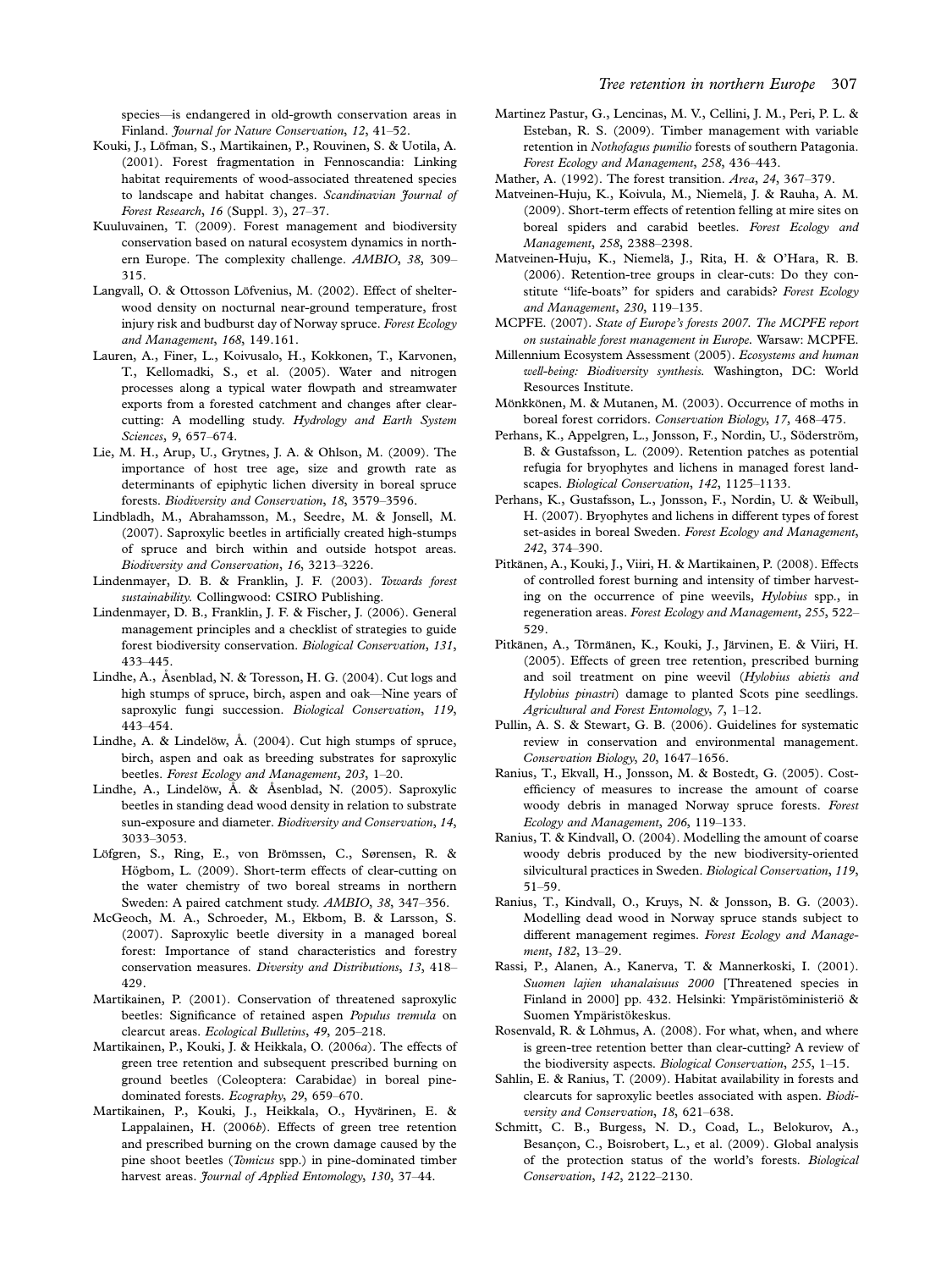species-is endangered in old-growth conservation areas in Finland. Journal for Nature Conservation, 12, 41-52.

- Kouki, J., Löfman, S., Martikainen, P., Rouvinen, S. & Uotila, A. (2001). Forest fragmentation in Fennoscandia: Linking habitat requirements of wood-associated threatened species to landscape and habitat changes. Scandinavian Journal of Forest Research,  $16$  (Suppl. 3),  $27-37$ .
- Kuuluvainen, T. (2009). Forest management and biodiversity conservation based on natural ecosystem dynamics in northern Europe. The complexity challenge. AMBIO, 38, 309 315.
- Langvall, O. & Ottosson Löfvenius, M. (2002). Effect of shelterwood density on nocturnal near-ground temperature, frost injury risk and budburst day of Norway spruce. Forest Ecology and Management, 168, 149.161.
- Lauren, A., Finer, L., Koivusalo, H., Kokkonen, T., Karvonen, T., Kellomadki, S., et al. (2005). Water and nitrogen processes along a typical water flowpath and streamwater exports from a forested catchment and changes after clearcutting: A modelling study. Hydrology and Earth System Sciences, 9, 657-674.
- Lie, M. H., Arup, U., Grytnes, J. A. & Ohlson, M. (2009). The importance of host tree age, size and growth rate as determinants of epiphytic lichen diversity in boreal spruce forests. Biodiversity and Conservation, 18, 3579-3596.
- Lindbladh, M., Abrahamsson, M., Seedre, M. & Jonsell, M. (2007). Saproxylic beetles in artificially created high-stumps of spruce and birch within and outside hotspot areas. Biodiversity and Conservation, 16, 3213-3226.
- Lindenmayer, D. B. & Franklin, J. F. (2003). Towards forest sustainability. Collingwood: CSIRO Publishing.
- Lindenmayer, D. B., Franklin, J. F. & Fischer, J. (2006). General management principles and a checklist of strategies to guide forest biodiversity conservation. Biological Conservation, 131, 433445.
- Lindhe, A., Åsenblad, N. & Toresson, H. G. (2004). Cut logs and high stumps of spruce, birch, aspen and oak-Nine years of saproxylic fungi succession. Biological Conservation, 119, 443454.
- Lindhe, A. & Lindelöw,  $\AA$ . (2004). Cut high stumps of spruce, birch, aspen and oak as breeding substrates for saproxylic beetles. Forest Ecology and Management, 203, 1-20.
- Lindhe, A., Lindelöw, Å. & Åsenblad, N. (2005). Saproxylic beetles in standing dead wood density in relation to substrate sun-exposure and diameter. Biodiversity and Conservation, 14, 3033-3053.
- Löfgren, S., Ring, E., von Brömssen, C., Sørensen, R. & Högbom, L. (2009). Short-term effects of clear-cutting on the water chemistry of two boreal streams in northern Sweden: A paired catchment study. AMBIO, 38, 347-356.
- McGeoch, M. A., Schroeder, M., Ekbom, B. & Larsson, S. (2007). Saproxylic beetle diversity in a managed boreal forest: Importance of stand characteristics and forestry conservation measures. Diversity and Distributions, 13, 418 429.
- Martikainen, P. (2001). Conservation of threatened saproxylic beetles: Significance of retained aspen Populus tremula on clearcut areas. Ecological Bulletins, 49, 205-218.
- Martikainen, P., Kouki, J. & Heikkala, O. (2006a). The effects of green tree retention and subsequent prescribed burning on ground beetles (Coleoptera: Carabidae) in boreal pinedominated forests. Ecography, 29, 659-670.
- Martikainen, P., Kouki, J., Heikkala, O., Hyvärinen, E. & Lappalainen, H. (2006b). Effects of green tree retention and prescribed burning on the crown damage caused by the pine shoot beetles (Tomicus spp.) in pine-dominated timber harvest areas. Journal of Applied Entomology, 130, 37-44.
- Martinez Pastur, G., Lencinas, M. V., Cellini, J. M., Peri, P. L. & Esteban, R. S. (2009). Timber management with variable retention in Nothofagus pumilio forests of southern Patagonia. Forest Ecology and Management, 258, 436-443.
- Mather, A. (1992). The forest transition. Area, 24, 367-379.
- Matveinen-Huju, K., Koivula, M., Niemelä, J. & Rauha, A. M. (2009). Short-term effects of retention felling at mire sites on boreal spiders and carabid beetles. Forest Ecology and Management, 258, 2388-2398.
- Matveinen-Huju, K., Niemelä, J., Rita, H. & O'Hara, R. B. (2006). Retention-tree groups in clear-cuts: Do they constitute "life-boats" for spiders and carabids? Forest Ecology and Management, 230, 119-135.
- MCPFE. (2007). State of Europe's forests 2007. The MCPFE report on sustainable forest management in Europe. Warsaw: MCPFE.
- Millennium Ecosystem Assessment (2005). Ecosystems and human well-being: Biodiversity synthesis. Washington, DC: World Resources Institute.
- Mönkkönen, M. & Mutanen, M. (2003). Occurrence of moths in boreal forest corridors. Conservation Biology, 17, 468-475.
- Perhans, K., Appelgren, L., Jonsson, F., Nordin, U., Söderström, B. & Gustafsson, L. (2009). Retention patches as potential refugia for bryophytes and lichens in managed forest landscapes. Biological Conservation, 142, 1125-1133.
- Perhans, K., Gustafsson, L., Jonsson, F., Nordin, U. & Weibull, H. (2007). Bryophytes and lichens in different types of forest set-asides in boreal Sweden. Forest Ecology and Management, 242, 374-390.
- Pitkänen, A., Kouki, J., Viiri, H. & Martikainen, P. (2008). Effects of controlled forest burning and intensity of timber harvesting on the occurrence of pine weevils, Hylobius spp., in regeneration areas. Forest Ecology and Management, 255, 522-529.
- Pitkänen, A., Törmänen, K., Kouki, J., Järvinen, E. & Viiri, H. (2005). Effects of green tree retention, prescribed burning and soil treatment on pine weevil (Hylobius abietis and Hylobius pinastri) damage to planted Scots pine seedlings. Agricultural and Forest Entomology,  $7, 1-12$ .
- Pullin, A. S. & Stewart, G. B. (2006). Guidelines for systematic review in conservation and environmental management. Conservation Biology, 20, 1647-1656.
- Ranius, T., Ekvall, H., Jonsson, M. & Bostedt, G. (2005). Costefficiency of measures to increase the amount of coarse woody debris in managed Norway spruce forests. Forest Ecology and Management, 206, 119-133.
- Ranius, T. & Kindvall, O. (2004). Modelling the amount of coarse woody debris produced by the new biodiversity-oriented silvicultural practices in Sweden. Biological Conservation, 119, 51-59.
- Ranius, T., Kindvall, O., Kruys, N. & Jonsson, B. G. (2003). Modelling dead wood in Norway spruce stands subject to different management regimes. Forest Ecology and Management, 182, 13-29.
- Rassi, P., Alanen, A., Kanerva, T. & Mannerkoski, I. (2001). Suomen lajien uhanalaisuus 2000 [Threatened species in Finland in 2000] pp. 432. Helsinki: Ympäristöministeriö & Suomen Ympäristökeskus.
- Rosenvald, R. & Lõhmus, A. (2008). For what, when, and where is green-tree retention better than clear-cutting? A review of the biodiversity aspects. Biological Conservation,  $255$ ,  $1-15$ .
- Sahlin, E. & Ranius, T. (2009). Habitat availability in forests and clearcuts for saproxylic beetles associated with aspen. Biodiversity and Conservation, 18, 621-638.
- Schmitt, C. B., Burgess, N. D., Coad, L., Belokurov, A., Besançon, C., Boisrobert, L., et al. (2009). Global analysis of the protection status of the world's forests. Biological Conservation, 142, 2122-2130.